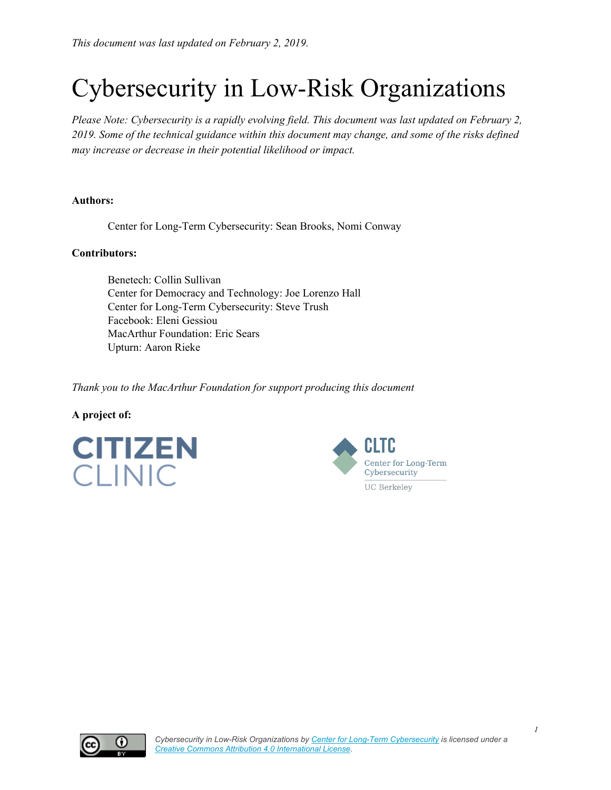# Cybersecurity in Low-Risk Organizations

*Please Note: Cybersecurity is a rapidly evolving field. This document was last updated on February 2, 2019. Some of the technical guidance within this document may change, and some of the risks defined may increase or decrease in their potential likelihood or impact.*

#### **Authors:**

Center for Long-Term Cybersecurity: Sean Brooks, Nomi Conway

#### **Contributors:**

Benetech: Collin Sullivan Center for Democracy and Technology: Joe Lorenzo Hall Center for Long-Term Cybersecurity: Steve Trush Facebook: Eleni Gessiou MacArthur Foundation: Eric Sears Upturn: Aaron Rieke

*Thank you to the MacArthur Foundation for support producing this document*

#### **A project of:**





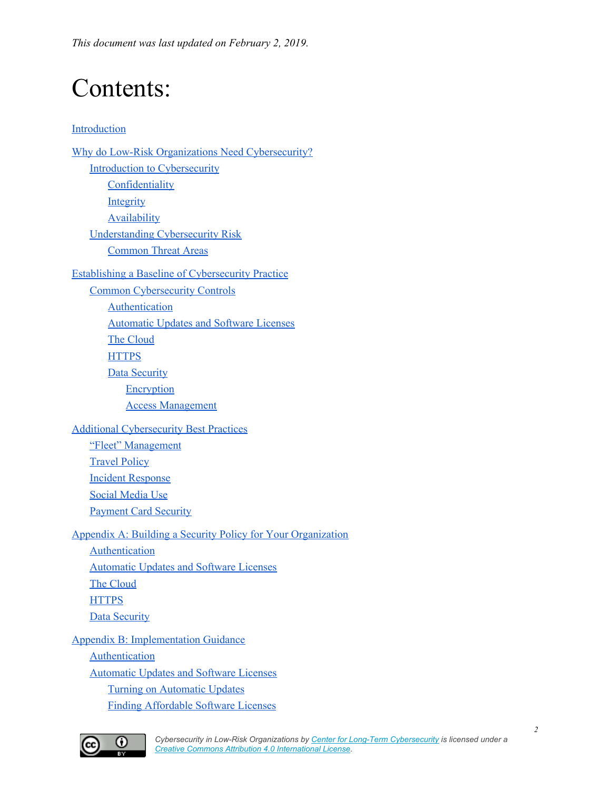*This document was last updated on February 2, 2019.*

# Contents:

#### [Introduction](#page-3-0)

Why do Low-Risk Organizations Need [Cybersecurity?](#page-3-1) Introduction to [Cybersecurity](#page-5-0) **[Confidentiality](#page-7-0) [Integrity](#page-7-1)** [Availability](#page-8-0) [Understanding](#page-8-1) Cybersecurity Risk [Common](#page-9-0) Threat Areas Establishing a Baseline of [Cybersecurity](#page-11-0) Practice Common Cybersecurity Controls **[Authentication](#page-12-0)** [Automatic](#page-15-0) Updates and Software Licenses The [Cloud](#page-16-0) **[HTTPS](#page-17-0) Data [Security](#page-18-0) [Encryption](#page-19-0)** Access [Management](#page-20-0) Additional [Cybersecurity](#page-21-0) Best Practices "Fleet" [Management](#page-21-1) [Travel](#page-22-0) Policy Incident [Response](#page-24-0) Social [Media](#page-27-0) Use [Payment](#page-27-1) Card Security Appendix A: Building a Security Policy for Your [Organization](#page-28-0) [Authentication](#page-28-1) [Automatic](#page-29-0) Updates and Software Licenses The [Cloud](#page-29-1) **[HTTPS](#page-30-0)** Data [Security](#page-31-0) Appendix B: Implementation Guidance [Authentication](#page-33-0) [Automatic](#page-34-0) Updates and Software Licenses Turning on [Automatic](#page-34-1) Updates Finding [Affordable](#page-34-2) Software Licenses

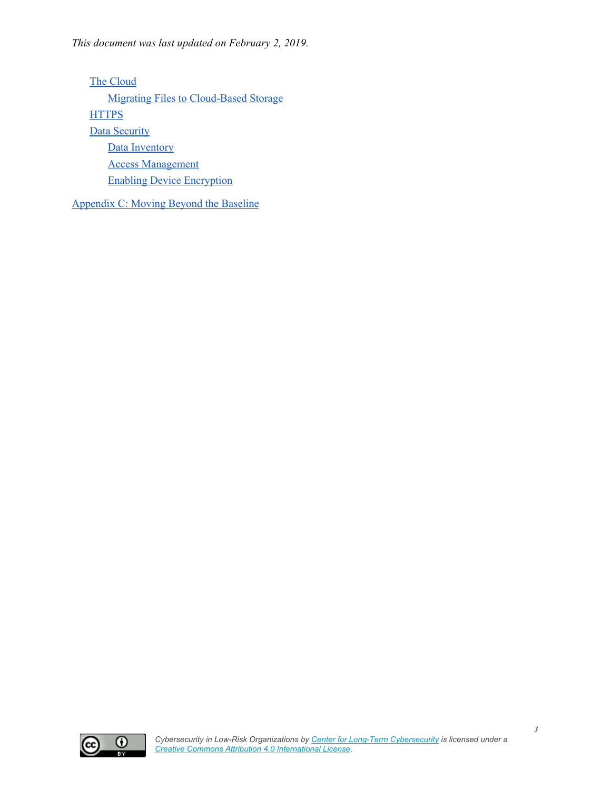The [Cloud](#page-34-3) Migrating Files to [Cloud-Based](#page-35-0) Storage **[HTTPS](#page-36-0) Data [Security](#page-37-0)** Data [Inventory](#page-37-1) Access [Management](#page-38-0) Enabling Device [Encryption](#page-38-1)

[Appendix](#page-40-0) C: Moving Beyond the Baseline



*3*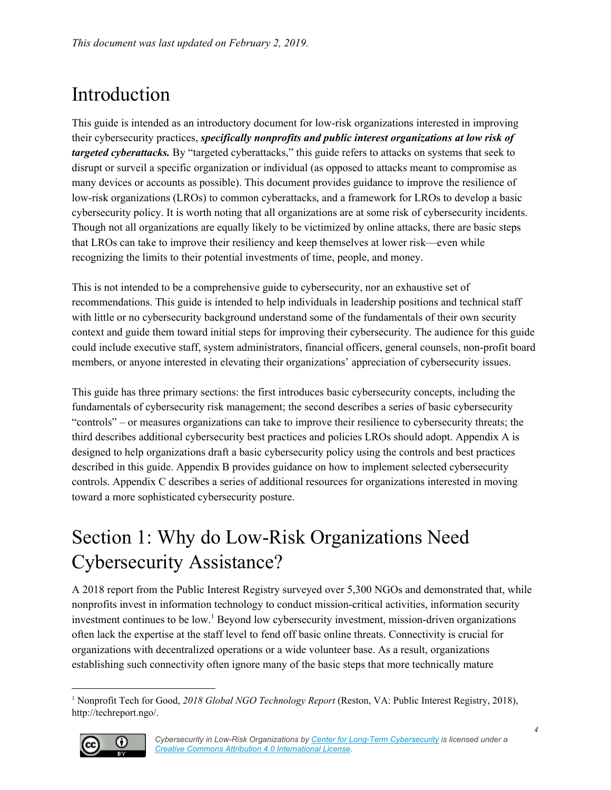## <span id="page-3-0"></span>Introduction

This guide is intended as an introductory document for low-risk organizations interested in improving their cybersecurity practices, *specifically nonprofits and public interest organizations at low risk of targeted cyberattacks.* By "targeted cyberattacks," this guide refers to attacks on systems that seek to disrupt or surveil a specific organization or individual (as opposed to attacks meant to compromise as many devices or accounts as possible). This document provides guidance to improve the resilience of low-risk organizations (LROs) to common cyberattacks, and a framework for LROs to develop a basic cybersecurity policy. It is worth noting that all organizations are at some risk of cybersecurity incidents. Though not all organizations are equally likely to be victimized by online attacks, there are basic steps that LROs can take to improve their resiliency and keep themselves at lower risk—even while recognizing the limits to their potential investments of time, people, and money.

This is not intended to be a comprehensive guide to cybersecurity, nor an exhaustive set of recommendations. This guide is intended to help individuals in leadership positions and technical staff with little or no cybersecurity background understand some of the fundamentals of their own security context and guide them toward initial steps for improving their cybersecurity. The audience for this guide could include executive staff, system administrators, financial officers, general counsels, non-profit board members, or anyone interested in elevating their organizations' appreciation of cybersecurity issues.

This guide has three primary sections: the first introduces basic cybersecurity concepts, including the fundamentals of cybersecurity risk management; the second describes a series of basic cybersecurity "controls" – or measures organizations can take to improve their resilience to cybersecurity threats; the third describes additional cybersecurity best practices and policies LROs should adopt. Appendix A is designed to help organizations draft a basic cybersecurity policy using the controls and best practices described in this guide. Appendix B provides guidance on how to implement selected cybersecurity controls. Appendix C describes a series of additional resources for organizations interested in moving toward a more sophisticated cybersecurity posture.

## <span id="page-3-1"></span>Section 1: Why do Low-Risk Organizations Need Cybersecurity Assistance?

A 2018 report from the Public Interest Registry surveyed over 5,300 NGOs and demonstrated that, while nonprofits invest in information technology to conduct mission-critical activities, information security investment continues to be low.<sup>1</sup> Beyond low cybersecurity investment, mission-driven organizations often lack the expertise at the staff level to fend off basic online threats. Connectivity is crucial for organizations with decentralized operations or a wide volunteer base. As a result, organizations establishing such connectivity often ignore many of the basic steps that more technically mature

<sup>1</sup> Nonprofit Tech for Good, *2018 Global NGO Technology Report* (Reston, VA: Public Interest Registry, 2018), http://techreport.ngo/.

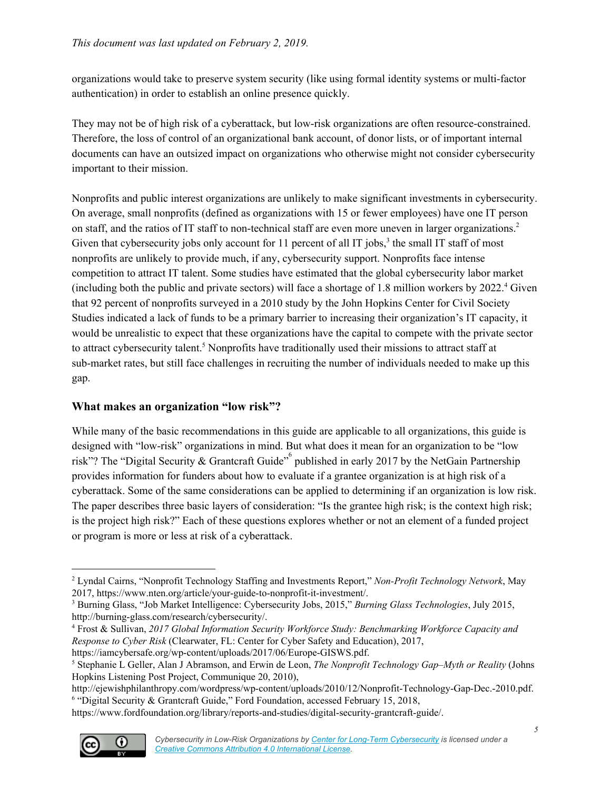organizations would take to preserve system security (like using formal identity systems or multi-factor authentication) in order to establish an online presence quickly.

They may not be of high risk of a cyberattack, but low-risk organizations are often resource-constrained. Therefore, the loss of control of an organizational bank account, of donor lists, or of important internal documents can have an outsized impact on organizations who otherwise might not consider cybersecurity important to their mission.

Nonprofits and public interest organizations are unlikely to make significant investments in cybersecurity. On average, small nonprofits (defined as organizations with 15 or fewer employees) have one IT person on staff, and the ratios of IT staff to non-technical staff are even more uneven in larger organizations. 2 Given that cybersecurity jobs only account for  $11$  percent of all IT jobs,<sup>3</sup> the small IT staff of most nonprofits are unlikely to provide much, if any, cybersecurity support. Nonprofits face intense competition to attract IT talent. Some studies have estimated that the global cybersecurity labor market (including both the public and private sectors) will face a shortage of 1.8 million workers by 2022. Given 4 that 92 percent of nonprofits surveyed in a 2010 study by the John Hopkins Center for Civil Society Studies indicated a lack of funds to be a primary barrier to increasing their organization's IT capacity, it would be unrealistic to expect that these organizations have the capital to compete with the private sector to attract cybersecurity talent.<sup>5</sup> Nonprofits have traditionally used their missions to attract staff at sub-market rates, but still face challenges in recruiting the number of individuals needed to make up this gap.

#### **What makes an organization "low risk"?**

While many of the basic recommendations in this guide are applicable to all organizations, this guide is designed with "low-risk" organizations in mind. But what does it mean for an organization to be "low risk"? The "Digital Security & Grantcraft Guide" published in early 2017 by the NetGain Partnership provides information for funders about how to evaluate if a grantee organization is at high risk of a cyberattack. Some of the same considerations can be applied to determining if an organization is low risk. The paper describes three basic layers of consideration: "Is the grantee high risk; is the context high risk; is the project high risk?" Each of these questions explores whether or not an element of a funded project or program is more or less at risk of a cyberattack.

https://www.fordfoundation.org/library/reports-and-studies/digital-security-grantcraft-guide/.



<sup>2</sup> Lyndal Cairns, "Nonprofit Technology Staffing and Investments Report," *Non-Profit Technology Network*, May 2017, https://www.nten.org/article/your-guide-to-nonprofit-it-investment/.

<sup>3</sup> Burning Glass, "Job Market Intelligence: Cybersecurity Jobs, 2015," *Burning Glass Technologies*, July 2015, http://burning-glass.com/research/cybersecurity/.

<sup>4</sup> Frost & Sullivan, *2017 Global Information Security Workforce Study: Benchmarking Workforce Capacity and Response to Cyber Risk* (Clearwater, FL: Center for Cyber Safety and Education), 2017, https://iamcybersafe.org/wp-content/uploads/2017/06/Europe-GISWS.pdf.

<sup>5</sup> Stephanie L Geller, Alan J Abramson, and Erwin de Leon, *The Nonprofit Technology Gap–Myth or Reality* (Johns Hopkins Listening Post Project, Communique 20, 2010),

http://ejewishphilanthropy.com/wordpress/wp-content/uploads/2010/12/Nonprofit-Technology-Gap-Dec.-2010.pdf. <sup>6</sup> "Digital Security & Grantcraft Guide," Ford Foundation, accessed February 15, 2018,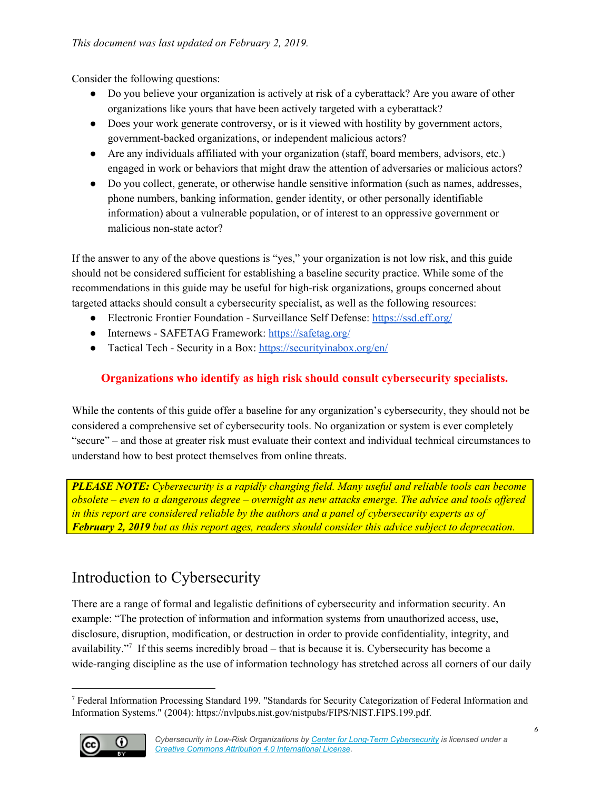Consider the following questions:

- Do you believe your organization is actively at risk of a cyberattack? Are you aware of other organizations like yours that have been actively targeted with a cyberattack?
- Does your work generate controversy, or is it viewed with hostility by government actors, government-backed organizations, or independent malicious actors?
- Are any individuals affiliated with your organization (staff, board members, advisors, etc.) engaged in work or behaviors that might draw the attention of adversaries or malicious actors?
- Do you collect, generate, or otherwise handle sensitive information (such as names, addresses, phone numbers, banking information, gender identity, or other personally identifiable information) about a vulnerable population, or of interest to an oppressive government or malicious non-state actor?

If the answer to any of the above questions is "yes," your organization is not low risk, and this guide should not be considered sufficient for establishing a baseline security practice. While some of the recommendations in this guide may be useful for high-risk organizations, groups concerned about targeted attacks should consult a cybersecurity specialist, as well as the following resources:

- Electronic Frontier Foundation Surveillance Self Defense: <https://ssd.eff.org/>
- Internews SAFETAG Framework: <https://safetag.org/>
- Tactical Tech Security in a Box: <https://securityinabox.org/en/>

#### **Organizations who identify as high risk should consult cybersecurity specialists.**

While the contents of this guide offer a baseline for any organization's cybersecurity, they should not be considered a comprehensive set of cybersecurity tools. No organization or system is ever completely "secure" – and those at greater risk must evaluate their context and individual technical circumstances to understand how to best protect themselves from online threats.

*PLEASE NOTE: Cybersecurity is a rapidly changing field. Many useful and reliable tools can become*  $\alpha$  obsolete – even to a dangerous degree – overnight as new attacks emerge. The advice and tools offered *in this report are considered reliable by the authors and a panel of cybersecurity experts as of February 2, 2019 but as this report ages, readers should consider this advice subject to deprecation.*

## <span id="page-5-0"></span>Introduction to Cybersecurity

There are a range of formal and legalistic definitions of cybersecurity and information security. An example: "The protection of information and information systems from unauthorized access, use, disclosure, disruption, modification, or destruction in order to provide confidentiality, integrity, and availability."<sup>7</sup> If this seems incredibly broad  $-$  that is because it is. Cybersecurity has become a wide-ranging discipline as the use of information technology has stretched across all corners of our daily

<sup>7</sup> Federal Information Processing Standard 199. "Standards for Security Categorization of Federal Information and Information Systems." (2004): https://nvlpubs.nist.gov/nistpubs/FIPS/NIST.FIPS.199.pdf.

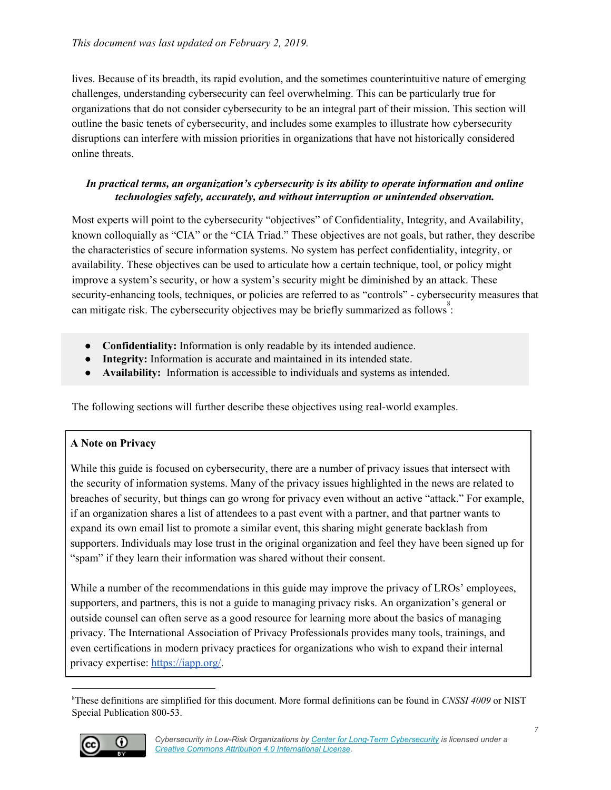lives. Because of its breadth, its rapid evolution, and the sometimes counterintuitive nature of emerging challenges, understanding cybersecurity can feel overwhelming. This can be particularly true for organizations that do not consider cybersecurity to be an integral part of their mission. This section will outline the basic tenets of cybersecurity, and includes some examples to illustrate how cybersecurity disruptions can interfere with mission priorities in organizations that have not historically considered online threats.

#### *In practical terms, an organization's cybersecurity is its ability to operate information and online technologies safely, accurately, and without interruption or unintended observation.*

Most experts will point to the cybersecurity "objectives" of Confidentiality, Integrity, and Availability, known colloquially as "CIA" or the "CIA Triad." These objectives are not goals, but rather, they describe the characteristics of secure information systems. No system has perfect confidentiality, integrity, or availability. These objectives can be used to articulate how a certain technique, tool, or policy might improve a system's security, or how a system's security might be diminished by an attack. These security-enhancing tools, techniques, or policies are referred to as "controls" - cybersecurity measures that can mitigate risk. The cybersecurity objectives may be briefly summarized as follows:

- **● Confidentiality:** Information is only readable by its intended audience.
- **● Integrity:** Information is accurate and maintained in its intended state.
- **● Availability:** Information is accessible to individuals and systems as intended.

The following sections will further describe these objectives using real-world examples.

#### **A Note on Privacy**

While this guide is focused on cybersecurity, there are a number of privacy issues that intersect with the security of information systems. Many of the privacy issues highlighted in the news are related to breaches of security, but things can go wrong for privacy even without an active "attack." For example, if an organization shares a list of attendees to a past event with a partner, and that partner wants to expand its own email list to promote a similar event, this sharing might generate backlash from supporters. Individuals may lose trust in the original organization and feel they have been signed up for "spam" if they learn their information was shared without their consent.

While a number of the recommendations in this guide may improve the privacy of LROs' employees, supporters, and partners, this is not a guide to managing privacy risks. An organization's general or outside counsel can often serve as a good resource for learning more about the basics of managing privacy. The International Association of Privacy Professionals provides many tools, trainings, and even certifications in modern privacy practices for organizations who wish to expand their internal privacy expertise: <https://iapp.org/>.

<sup>8</sup>These definitions are simplified for this document. More formal definitions can be found in *CNSSI 4009* or NIST Special Publication 800-53.

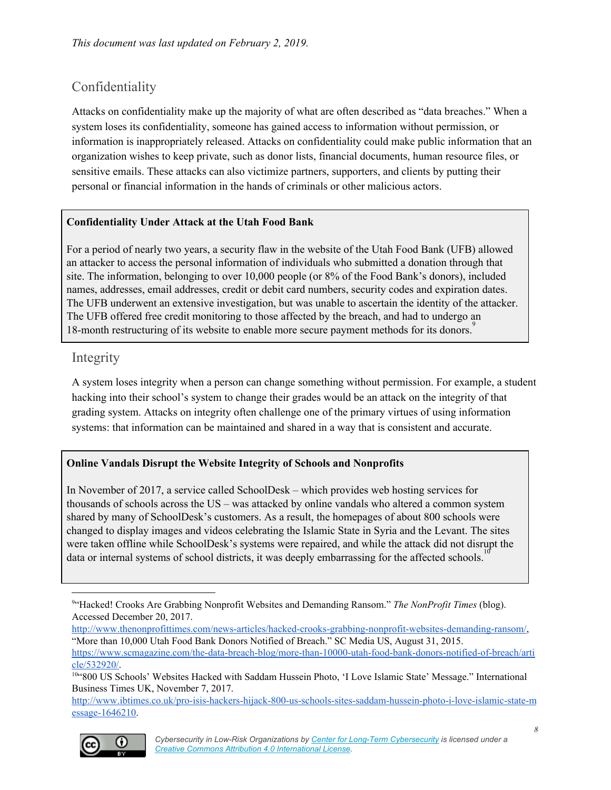### <span id="page-7-0"></span>Confidentiality

Attacks on confidentiality make up the majority of what are often described as "data breaches." When a system loses its confidentiality, someone has gained access to information without permission, or information is inappropriately released. Attacks on confidentiality could make public information that an organization wishes to keep private, such as donor lists, financial documents, human resource files, or sensitive emails. These attacks can also victimize partners, supporters, and clients by putting their personal or financial information in the hands of criminals or other malicious actors.

#### **Confidentiality Under Attack at the Utah Food Bank**

For a period of nearly two years, a security flaw in the website of the Utah Food Bank (UFB) allowed an attacker to access the personal information of individuals who submitted a donation through that site. The information, belonging to over 10,000 people (or 8% of the Food Bank's donors), included names, addresses, email addresses, credit or debit card numbers, security codes and expiration dates. The UFB underwent an extensive investigation, but was unable to ascertain the identity of the attacker. The UFB offered free credit monitoring to those affected by the breach, and had to undergo an 18-month restructuring of its website to enable more secure payment methods for its donors.<sup>9</sup>

#### <span id="page-7-1"></span>Integrity

A system loses integrity when a person can change something without permission. For example, a student hacking into their school's system to change their grades would be an attack on the integrity of that grading system. Attacks on integrity often challenge one of the primary virtues of using information systems: that information can be maintained and shared in a way that is consistent and accurate.

#### **Online Vandals Disrupt the Website Integrity of Schools and Nonprofits**

In November of 2017, a service called SchoolDesk – which provides web hosting services for thousands of schools across the US – was attacked by online vandals who altered a common system shared by many of SchoolDesk's customers. As a result, the homepages of about 800 schools were changed to display images and videos celebrating the Islamic State in Syria and the Levant. The sites were taken offline while SchoolDesk's systems were repaired, and while the attack did not disrupt the data or internal systems of school districts, it was deeply embarrassing for the affected schools. 10

[http://www.thenonprofittimes.com/news-articles/hacked-crooks-grabbing-nonprofit-websites-demanding-ransom/,](http://www.thenonprofittimes.com/news-articles/hacked-crooks-grabbing-nonprofit-websites-demanding-ransom/) "More than 10,000 Utah Food Bank Donors Notified of Breach." SC Media US, August 31, 2015.

[http://www.ibtimes.co.uk/pro-isis-hackers-hijack-800-us-schools-sites-saddam-hussein-photo-i-love-islamic-state-m](http://www.ibtimes.co.uk/pro-isis-hackers-hijack-800-us-schools-sites-saddam-hussein-photo-i-love-islamic-state-message-1646210) [essage-1646210](http://www.ibtimes.co.uk/pro-isis-hackers-hijack-800-us-schools-sites-saddam-hussein-photo-i-love-islamic-state-message-1646210).



<sup>9</sup>"Hacked! Crooks Are Grabbing Nonprofit Websites and Demanding Ransom." *The NonProfit Times* (blog). Accessed December 20, 2017.

[https://www.scmagazine.com/the-data-breach-blog/more-than-10000-utah-food-bank-donors-notified-of-breach/arti](https://www.scmagazine.com/the-data-breach-blog/more-than-10000-utah-food-bank-donors-notified-of-breach/article/532920/) [cle/532920/](https://www.scmagazine.com/the-data-breach-blog/more-than-10000-utah-food-bank-donors-notified-of-breach/article/532920/).

<sup>10&</sup>quot;800 US Schools' Websites Hacked with Saddam Hussein Photo, 'I Love Islamic State' Message." International Business Times UK, November 7, 2017.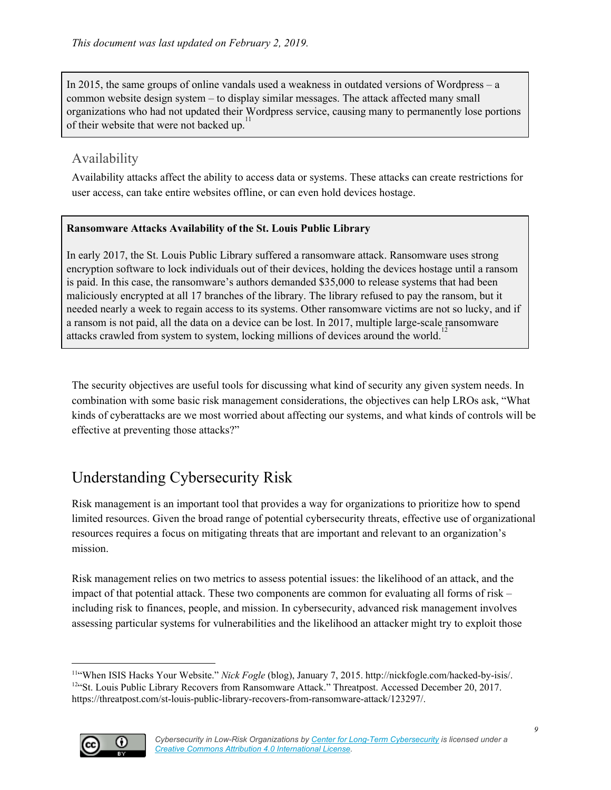In 2015, the same groups of online vandals used a weakness in outdated versions of Wordpress – a common website design system – to display similar messages. The attack affected many small organizations who had not updated their Wordpress service, causing many to permanently lose portions 11 of their website that were not backed up.

#### <span id="page-8-0"></span>Availability

Availability attacks affect the ability to access data or systems. These attacks can create restrictions for user access, can take entire websites offline, or can even hold devices hostage.

#### **Ransomware Attacks Availability of the St. Louis Public Library**

In early 2017, the St. Louis Public Library suffered a ransomware attack. Ransomware uses strong encryption software to lock individuals out of their devices, holding the devices hostage until a ransom is paid. In this case, the ransomware's authors demanded \$35,000 to release systems that had been maliciously encrypted at all 17 branches of the library. The library refused to pay the ransom, but it needed nearly a week to regain access to its systems. Other ransomware victims are not so lucky, and if a ransom is not paid, all the data on a device can be lost. In 2017, multiple large-scale ransomware attacks crawled from system to system, locking millions of devices around the world.<sup>12</sup>

The security objectives are useful tools for discussing what kind of security any given system needs. In combination with some basic risk management considerations, the objectives can help LROs ask, "What kinds of cyberattacks are we most worried about affecting our systems, and what kinds of controls will be effective at preventing those attacks?"

## <span id="page-8-1"></span>Understanding Cybersecurity Risk

Risk management is an important tool that provides a way for organizations to prioritize how to spend limited resources. Given the broad range of potential cybersecurity threats, effective use of organizational resources requires a focus on mitigating threats that are important and relevant to an organization's mission.

Risk management relies on two metrics to assess potential issues: the likelihood of an attack, and the impact of that potential attack. These two components are common for evaluating all forms of risk – including risk to finances, people, and mission. In cybersecurity, advanced risk management involves assessing particular systems for vulnerabilities and the likelihood an attacker might try to exploit those

<sup>11</sup>"When ISIS Hacks Your Website." *Nick Fogle* (blog), January 7, 2015. http://nickfogle.com/hacked-by-isis/. <sup>12"</sup>St. Louis Public Library Recovers from Ransomware Attack." Threatpost. Accessed December 20, 2017. https://threatpost.com/st-louis-public-library-recovers-from-ransomware-attack/123297/.

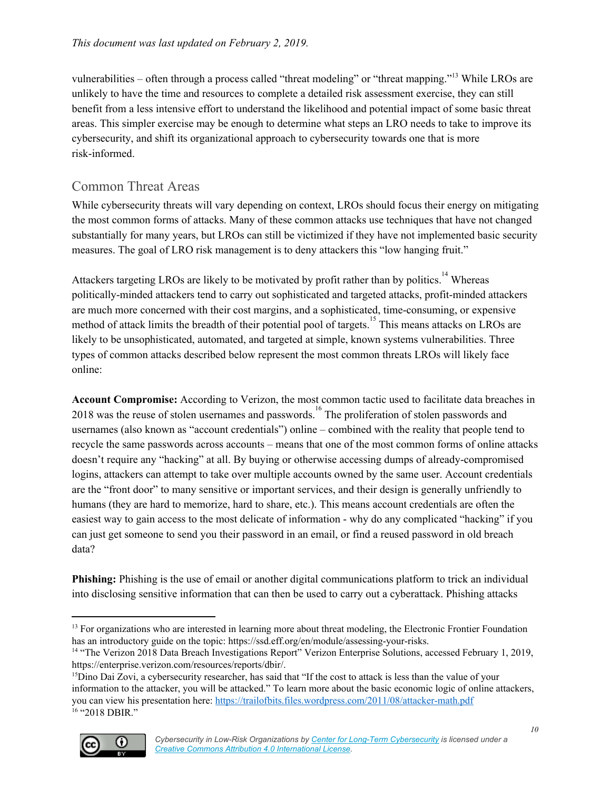vulnerabilities – often through a process called "threat modeling" or "threat mapping."<sup>13</sup> While LROs are unlikely to have the time and resources to complete a detailed risk assessment exercise, they can still benefit from a less intensive effort to understand the likelihood and potential impact of some basic threat areas. This simpler exercise may be enough to determine what steps an LRO needs to take to improve its cybersecurity, and shift its organizational approach to cybersecurity towards one that is more risk-informed.

### <span id="page-9-0"></span>Common Threat Areas

While cybersecurity threats will vary depending on context, LROs should focus their energy on mitigating the most common forms of attacks. Many of these common attacks use techniques that have not changed substantially for many years, but LROs can still be victimized if they have not implemented basic security measures. The goal of LRO risk management is to deny attackers this "low hanging fruit."

Attackers targeting LROs are likely to be motivated by profit rather than by politics.<sup>14</sup> Whereas politically-minded attackers tend to carry out sophisticated and targeted attacks, profit-minded attackers are much more concerned with their cost margins, and a sophisticated, time-consuming, or expensive method of attack limits the breadth of their potential pool of targets.<sup>15</sup> This means attacks on LROs are likely to be unsophisticated, automated, and targeted at simple, known systems vulnerabilities. Three types of common attacks described below represent the most common threats LROs will likely face online:

**Account Compromise:** According to Verizon, the most common tactic used to facilitate data breaches in 2018 was the reuse of stolen usernames and passwords.<sup>16</sup> The proliferation of stolen passwords and usernames (also known as "account credentials") online – combined with the reality that people tend to recycle the same passwords across accounts – means that one of the most common forms of online attacks doesn't require any "hacking" at all. By buying or otherwise accessing dumps of already-compromised logins, attackers can attempt to take over multiple accounts owned by the same user. Account credentials are the "front door" to many sensitive or important services, and their design is generally unfriendly to humans (they are hard to memorize, hard to share, etc.). This means account credentials are often the easiest way to gain access to the most delicate of information - why do any complicated "hacking" if you can just get someone to send you their password in an email, or find a reused password in old breach data?

**Phishing:** Phishing is the use of email or another digital communications platform to trick an individual into disclosing sensitive information that can then be used to carry out a cyberattack. Phishing attacks

<sup>&</sup>lt;sup>15</sup>Dino Dai Zovi, a cybersecurity researcher, has said that "If the cost to attack is less than the value of your information to the attacker, you will be attacked." To learn more about the basic economic logic of online attackers, you can view his presentation here: <https://trailofbits.files.wordpress.com/2011/08/attacker-math.pdf> <sup>16</sup> "2018 DBIR."



<sup>&</sup>lt;sup>13</sup> For organizations who are interested in learning more about threat modeling, the Electronic Frontier Foundation has an introductory guide on the topic: https://ssd.eff.org/en/module/assessing-your-risks.

<sup>&</sup>lt;sup>14</sup> "The Verizon 2018 Data Breach Investigations Report" Verizon Enterprise Solutions, accessed February 1, 2019, https://enterprise.verizon.com/resources/reports/dbir/.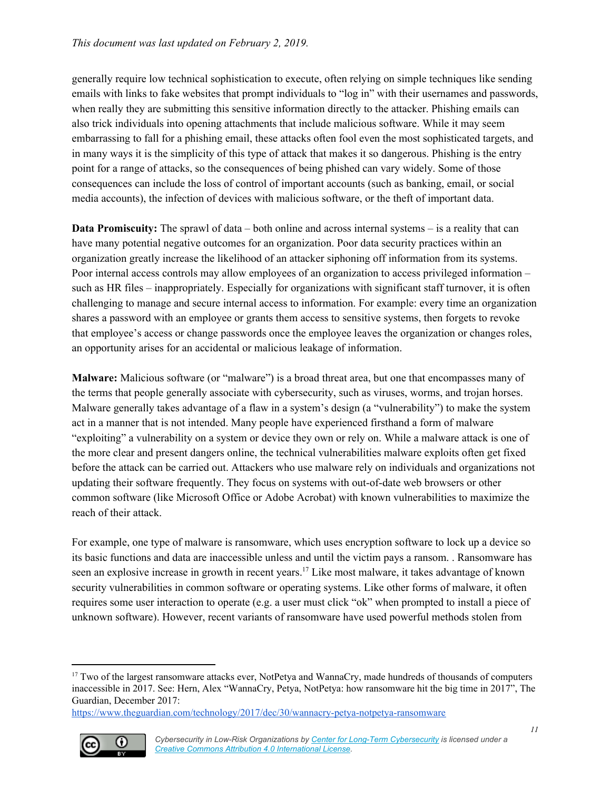generally require low technical sophistication to execute, often relying on simple techniques like sending emails with links to fake websites that prompt individuals to "log in" with their usernames and passwords, when really they are submitting this sensitive information directly to the attacker. Phishing emails can also trick individuals into opening attachments that include malicious software. While it may seem embarrassing to fall for a phishing email, these attacks often fool even the most sophisticated targets, and in many ways it is the simplicity of this type of attack that makes it so dangerous. Phishing is the entry point for a range of attacks, so the consequences of being phished can vary widely. Some of those consequences can include the loss of control of important accounts (such as banking, email, or social media accounts), the infection of devices with malicious software, or the theft of important data.

**Data Promiscuity:** The sprawl of data – both online and across internal systems – is a reality that can have many potential negative outcomes for an organization. Poor data security practices within an organization greatly increase the likelihood of an attacker siphoning off information from its systems. Poor internal access controls may allow employees of an organization to access privileged information – such as HR files – inappropriately. Especially for organizations with significant staff turnover, it is often challenging to manage and secure internal access to information. For example: every time an organization shares a password with an employee or grants them access to sensitive systems, then forgets to revoke that employee's access or change passwords once the employee leaves the organization or changes roles, an opportunity arises for an accidental or malicious leakage of information.

**Malware:** Malicious software (or "malware") is a broad threat area, but one that encompasses many of the terms that people generally associate with cybersecurity, such as viruses, worms, and trojan horses. Malware generally takes advantage of a flaw in a system's design (a "vulnerability") to make the system act in a manner that is not intended. Many people have experienced firsthand a form of malware "exploiting" a vulnerability on a system or device they own or rely on. While a malware attack is one of the more clear and present dangers online, the technical vulnerabilities malware exploits often get fixed before the attack can be carried out. Attackers who use malware rely on individuals and organizations not updating their software frequently. They focus on systems with out-of-date web browsers or other common software (like Microsoft Office or Adobe Acrobat) with known vulnerabilities to maximize the reach of their attack.

For example, one type of malware is ransomware, which uses encryption software to lock up a device so its basic functions and data are inaccessible unless and until the victim pays a ransom. . Ransomware has seen an explosive increase in growth in recent years.<sup>17</sup> Like most malware, it takes advantage of known security vulnerabilities in common software or operating systems. Like other forms of malware, it often requires some user interaction to operate (e.g. a user must click "ok" when prompted to install a piece of unknown software). However, recent variants of ransomware have used powerful methods stolen from

<https://www.theguardian.com/technology/2017/dec/30/wannacry-petya-notpetya-ransomware>



<sup>&</sup>lt;sup>17</sup> Two of the largest ransomware attacks ever. NotPetya and WannaCry, made hundreds of thousands of computers inaccessible in 2017. See: Hern, Alex "WannaCry, Petya, NotPetya: how ransomware hit the big time in 2017", The Guardian, December 2017: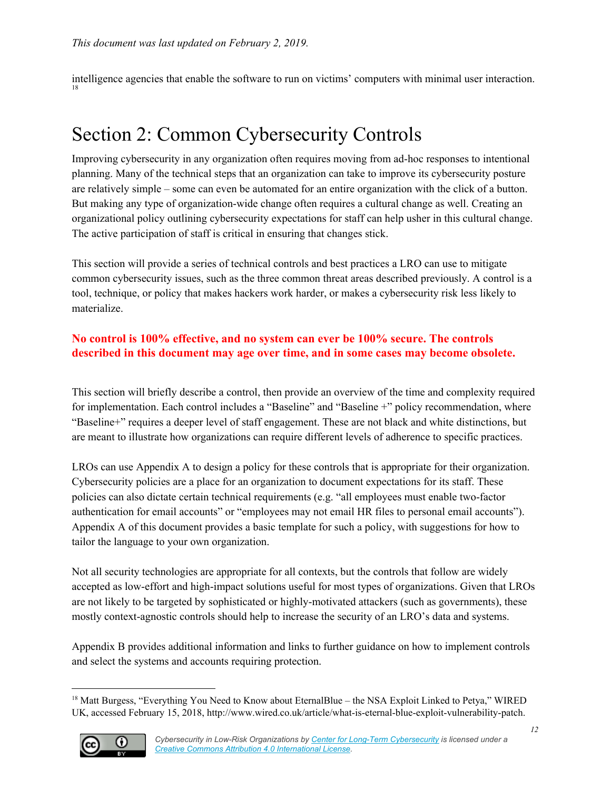intelligence agencies that enable the software to run on victims' computers with minimal user interaction. 18

## <span id="page-11-0"></span>Section 2: Common Cybersecurity Controls

Improving cybersecurity in any organization often requires moving from ad-hoc responses to intentional planning. Many of the technical steps that an organization can take to improve its cybersecurity posture are relatively simple – some can even be automated for an entire organization with the click of a button. But making any type of organization-wide change often requires a cultural change as well. Creating an organizational policy outlining cybersecurity expectations for staff can help usher in this cultural change. The active participation of staff is critical in ensuring that changes stick.

This section will provide a series of technical controls and best practices a LRO can use to mitigate common cybersecurity issues, such as the three common threat areas described previously. A control is a tool, technique, or policy that makes hackers work harder, or makes a cybersecurity risk less likely to materialize.

#### **No control is 100% effective, and no system can ever be 100% secure. The controls described in this document may age over time, and in some cases may become obsolete.**

This section will briefly describe a control, then provide an overview of the time and complexity required for implementation. Each control includes a "Baseline" and "Baseline +" policy recommendation, where "Baseline+" requires a deeper level of staff engagement. These are not black and white distinctions, but are meant to illustrate how organizations can require different levels of adherence to specific practices.

LROs can use Appendix A to design a policy for these controls that is appropriate for their organization. Cybersecurity policies are a place for an organization to document expectations for its staff. These policies can also dictate certain technical requirements (e.g. "all employees must enable two-factor authentication for email accounts" or "employees may not email HR files to personal email accounts"). Appendix A of this document provides a basic template for such a policy, with suggestions for how to tailor the language to your own organization.

Not all security technologies are appropriate for all contexts, but the controls that follow are widely accepted as low-effort and high-impact solutions useful for most types of organizations. Given that LROs are not likely to be targeted by sophisticated or highly-motivated attackers (such as governments), these mostly context-agnostic controls should help to increase the security of an LRO's data and systems.

Appendix B provides additional information and links to further guidance on how to implement controls and select the systems and accounts requiring protection.

<sup>&</sup>lt;sup>18</sup> Matt Burgess, "Everything You Need to Know about EternalBlue – the NSA Exploit Linked to Petya," WIRED UK, accessed February 15, 2018, http://www.wired.co.uk/article/what-is-eternal-blue-exploit-vulnerability-patch.

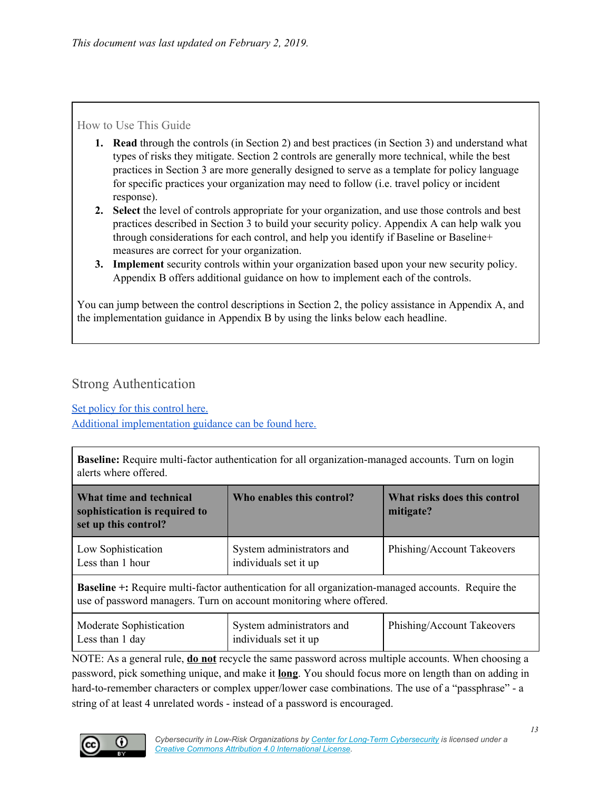#### How to Use This Guide

- **1. Read** through the controls (in Section 2) and best practices (in Section 3) and understand what types of risks they mitigate. Section 2 controls are generally more technical, while the best practices in Section 3 are more generally designed to serve as a template for policy language for specific practices your organization may need to follow (i.e. travel policy or incident response).
- **2. Select** the level of controls appropriate for your organization, and use those controls and best practices described in Section 3 to build your security policy. Appendix A can help walk you through considerations for each control, and help you identify if Baseline or Baseline+ measures are correct for your organization.
- **3. Implement** security controls within your organization based upon your new security policy. Appendix B offers additional guidance on how to implement each of the controls.

You can jump between the control descriptions in Section 2, the policy assistance in Appendix A, and the implementation guidance in Appendix B by using the links below each headline.

#### <span id="page-12-0"></span>Strong Authentication

Set policy for this [control](#page-28-1) here.

Additional [implementation](#page-33-0) guidance can be found here.

**Baseline:** Require multi-factor authentication for all organization-managed accounts. Turn on login alerts where offered.

| What time and technical<br>sophistication is required to<br>set up this control?                                                                                                 | Who enables this control?                          | What risks does this control<br>mitigate? |  |
|----------------------------------------------------------------------------------------------------------------------------------------------------------------------------------|----------------------------------------------------|-------------------------------------------|--|
| Low Sophistication<br>Less than 1 hour                                                                                                                                           | System administrators and<br>individuals set it up | Phishing/Account Takeovers                |  |
| <b>Baseline +:</b> Require multi-factor authentication for all organization-managed accounts. Require the<br>use of password managers. Turn on account monitoring where offered. |                                                    |                                           |  |
| Moderate Sophistication                                                                                                                                                          | System administrators and                          | Phishing/Account Takeovers                |  |

NOTE: As a general rule, **do not** recycle the same password across multiple accounts. When choosing a password, pick something unique, and make it **long**. You should focus more on length than on adding in hard-to-remember characters or complex upper/lower case combinations. The use of a "passphrase" - a string of at least 4 unrelated words - instead of a password is encouraged.

individuals set it up



Less than 1 day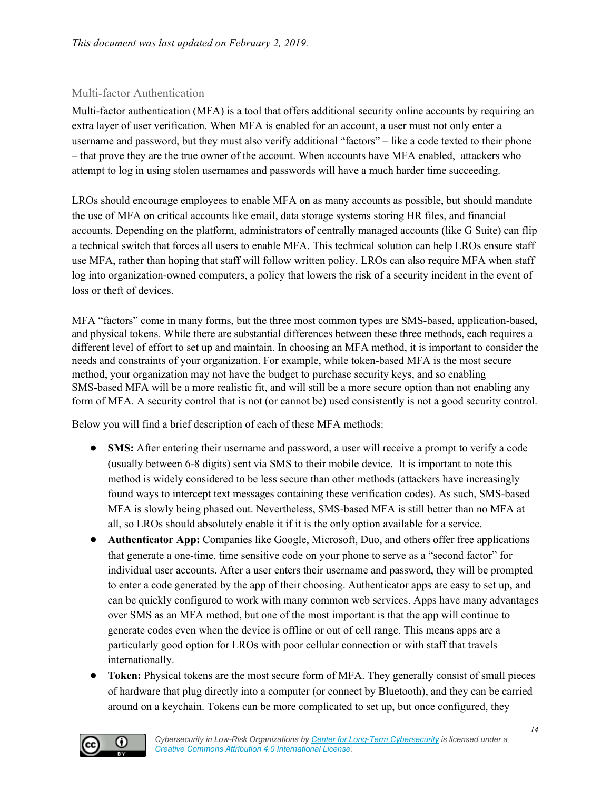#### Multi-factor Authentication

Multi-factor authentication (MFA) is a tool that offers additional security online accounts by requiring an extra layer of user verification. When MFA is enabled for an account, a user must not only enter a username and password, but they must also verify additional "factors" – like a code texted to their phone – that prove they are the true owner of the account. When accounts have MFA enabled, attackers who attempt to log in using stolen usernames and passwords will have a much harder time succeeding.

LROs should encourage employees to enable MFA on as many accounts as possible, but should mandate the use of MFA on critical accounts like email, data storage systems storing HR files, and financial accounts. Depending on the platform, administrators of centrally managed accounts (like G Suite) can flip a technical switch that forces all users to enable MFA. This technical solution can help LROs ensure staff use MFA, rather than hoping that staff will follow written policy. LROs can also require MFA when staff log into organization-owned computers, a policy that lowers the risk of a security incident in the event of loss or theft of devices.

MFA "factors" come in many forms, but the three most common types are SMS-based, application-based, and physical tokens. While there are substantial differences between these three methods, each requires a different level of effort to set up and maintain. In choosing an MFA method, it is important to consider the needs and constraints of your organization. For example, while token-based MFA is the most secure method, your organization may not have the budget to purchase security keys, and so enabling SMS-based MFA will be a more realistic fit, and will still be a more secure option than not enabling any form of MFA. A security control that is not (or cannot be) used consistently is not a good security control.

Below you will find a brief description of each of these MFA methods:

- **SMS:** After entering their username and password, a user will receive a prompt to verify a code (usually between 6-8 digits) sent via SMS to their mobile device. It is important to note this method is widely considered to be less secure than other methods (attackers have increasingly found ways to intercept text messages containing these verification codes). As such, SMS-based MFA is slowly being phased out. Nevertheless, SMS-based MFA is still better than no MFA at all, so LROs should absolutely enable it if it is the only option available for a service.
- **Authenticator App:** Companies like Google, Microsoft, Duo, and others offer free applications that generate a one-time, time sensitive code on your phone to serve as a "second factor" for individual user accounts. After a user enters their username and password, they will be prompted to enter a code generated by the app of their choosing. Authenticator apps are easy to set up, and can be quickly configured to work with many common web services. Apps have many advantages over SMS as an MFA method, but one of the most important is that the app will continue to generate codes even when the device is offline or out of cell range. This means apps are a particularly good option for LROs with poor cellular connection or with staff that travels internationally.
- **Token:** Physical tokens are the most secure form of MFA. They generally consist of small pieces of hardware that plug directly into a computer (or connect by Bluetooth), and they can be carried around on a keychain. Tokens can be more complicated to set up, but once configured, they

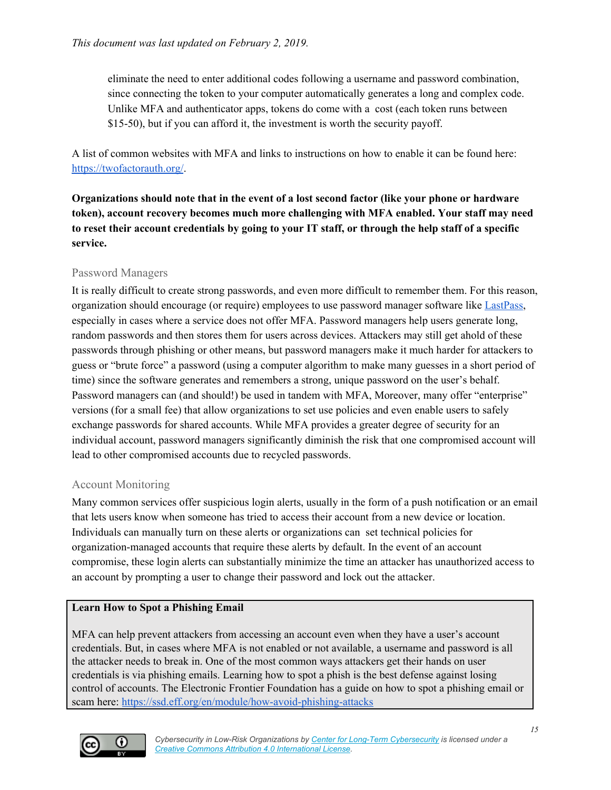eliminate the need to enter additional codes following a username and password combination, since connecting the token to your computer automatically generates a long and complex code. Unlike MFA and authenticator apps, tokens do come with a cost (each token runs between \$15-50), but if you can afford it, the investment is worth the security payoff.

A list of common websites with MFA and links to instructions on how to enable it can be found here: <https://twofactorauth.org/>.

**Organizations should note that in the event of a lost second factor (like your phone or hardware token), account recovery becomes much more challenging with MFA enabled. Your staff may need** to reset their account credentials by going to your IT staff, or through the help staff of a specific **service.**

#### Password Managers

It is really difficult to create strong passwords, and even more difficult to remember them. For this reason, organization should encourage (or require) employees to use password manager software like [LastPass,](https://www.lastpass.com/) [especially](https://www.lastpass.com/) in cases where a service does not offer MFA. Password managers help users generate long, random passwords and then stores them for users across devices. Attackers may still get ahold of these passwords through phishing or other means, but password managers make it much harder for attackers to guess or "brute force" a password (using a computer algorithm to make many guesses in a short period of time) since the software generates and remembers a strong, unique password on the user's behalf. Password managers can (and should!) be used in tandem with MFA, Moreover, many offer "enterprise" versions (for a small fee) that allow organizations to set use policies and even enable users to safely exchange passwords for shared accounts. While MFA provides a greater degree of security for an individual account, password managers significantly diminish the risk that one compromised account will lead to other compromised accounts due to recycled passwords.

#### Account Monitoring

Many common services offer suspicious login alerts, usually in the form of a push notification or an email that lets users know when someone has tried to access their account from a new device or location. Individuals can manually turn on these alerts or organizations can set technical policies for organization-managed accounts that require these alerts by default. In the event of an account compromise, these login alerts can substantially minimize the time an attacker has unauthorized access to an account by prompting a user to change their password and lock out the attacker.

#### **Learn How to Spot a Phishing Email**

MFA can help prevent attackers from accessing an account even when they have a user's account credentials. But, in cases where MFA is not enabled or not available, a username and password is all the attacker needs to break in. One of the most common ways attackers get their hands on user credentials is via phishing emails. Learning how to spot a phish is the best defense against losing control of accounts. The Electronic Frontier Foundation has a guide on how to spot a phishing email or scam here: <https://ssd.eff.org/en/module/how-avoid-phishing-attacks>

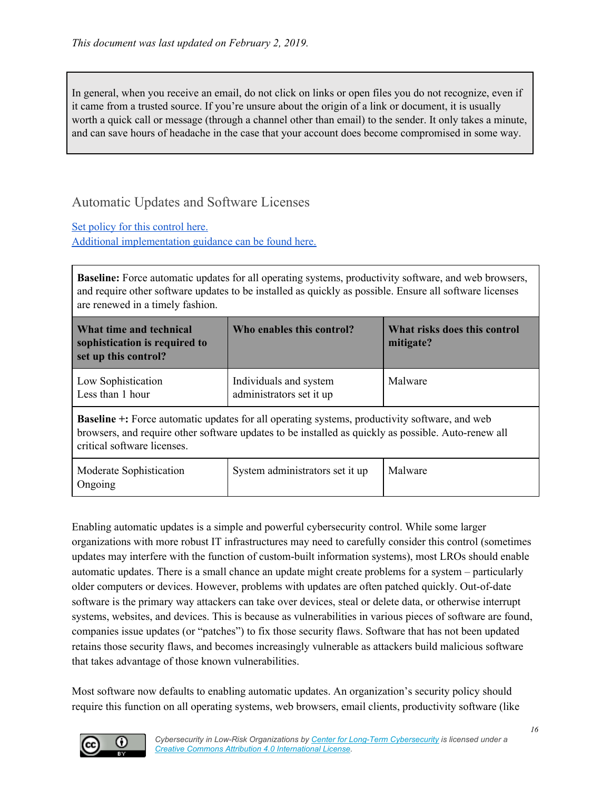In general, when you receive an email, do not click on links or open files you do not recognize, even if it came from a trusted source. If you're unsure about the origin of a link or document, it is usually worth a quick call or message (through a channel other than email) to the sender. It only takes a minute, and can save hours of headache in the case that your account does become compromised in some way.

#### <span id="page-15-0"></span>Automatic Updates and Software Licenses

Set policy for this [control](#page-29-0) here. Additional [implementation](#page-34-0) guidance can be found here.

**Baseline:** Force automatic updates for all operating systems, productivity software, and web browsers, and require other software updates to be installed as quickly as possible. Ensure all software licenses are renewed in a timely fashion.

| What time and technical<br>sophistication is required to<br>set up this control?                                                                                                                                                           | Who enables this control?                          | What risks does this control<br>mitigate? |
|--------------------------------------------------------------------------------------------------------------------------------------------------------------------------------------------------------------------------------------------|----------------------------------------------------|-------------------------------------------|
| Low Sophistication<br>Less than 1 hour                                                                                                                                                                                                     | Individuals and system<br>administrators set it up | Malware                                   |
| <b>Baseline</b> +: Force automatic updates for all operating systems, productivity software, and web<br>browsers, and require other software updates to be installed as quickly as possible. Auto-renew all<br>critical software licenses. |                                                    |                                           |
| Moderate Sophistication<br>Ongoing                                                                                                                                                                                                         | System administrators set it up                    | Malware                                   |

Enabling automatic updates is a simple and powerful cybersecurity control. While some larger organizations with more robust IT infrastructures may need to carefully consider this control (sometimes updates may interfere with the function of custom-built information systems), most LROs should enable automatic updates. There is a small chance an update might create problems for a system – particularly older computers or devices. However, problems with updates are often patched quickly. Out-of-date software is the primary way attackers can take over devices, steal or delete data, or otherwise interrupt systems, websites, and devices. This is because as vulnerabilities in various pieces of software are found, companies issue updates (or "patches") to fix those security flaws. Software that has not been updated retains those security flaws, and becomes increasingly vulnerable as attackers build malicious software that takes advantage of those known vulnerabilities.

Most software now defaults to enabling automatic updates. An organization's security policy should require this function on all operating systems, web browsers, email clients, productivity software (like

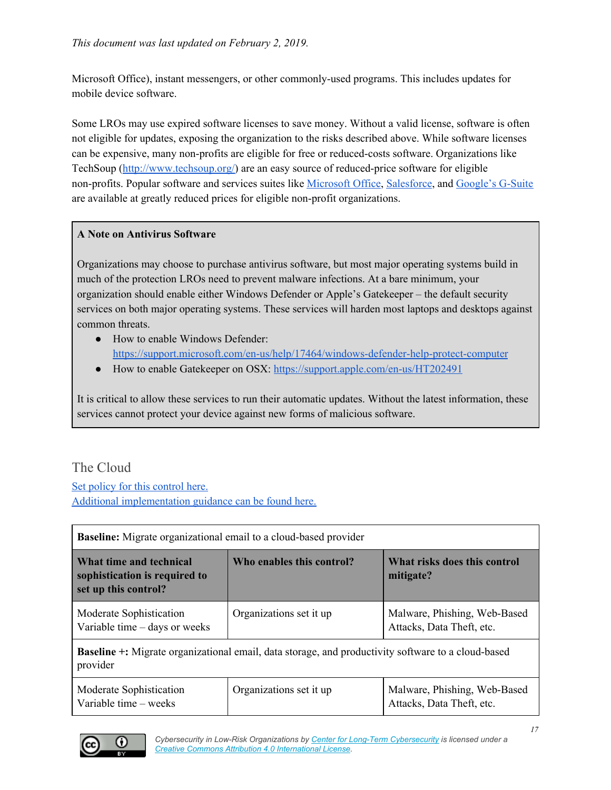Microsoft Office), instant messengers, or other commonly-used programs. This includes updates for mobile device software.

Some LROs may use expired software licenses to save money. Without a valid license, software is often not eligible for updates, exposing the organization to the risks described above. While software licenses can be expensive, many non-profits are eligible for free or reduced-costs software. Organizations like TechSoup ([http://www.techsoup.org/\)](http://www.techsoup.org/) are an easy source of reduced-price software for eligible non-profits. Popular software and services suites like [Microsoft](https://products.office.com/en-us/nonprofit/office-365-nonprofit-plans-and-pricing?tab=1) Office, [Salesforce](http://www.salesforce.org/nonprofit/), and [Google's](https://www.google.com/nonprofits/) G-Suite are available at greatly reduced prices for eligible non-profit organizations.

#### **A Note on Antivirus Software**

Organizations may choose to purchase antivirus software, but most major operating systems build in much of the protection LROs need to prevent malware infections. At a bare minimum, your organization should enable either Windows Defender or Apple's Gatekeeper – the default security services on both major operating systems. These services will harden most laptops and desktops against common threats.

- How to enable Windows Defender: <https://support.microsoft.com/en-us/help/17464/windows-defender-help-protect-computer>
- How to enable Gatekeeper on OSX: <https://support.apple.com/en-us/HT202491>

It is critical to allow these services to run their automatic updates. Without the latest information, these services cannot protect your device against new forms of malicious software.

#### <span id="page-16-0"></span>The Cloud

Set policy for this [control](#page-29-1) here. Additional [implementation](#page-34-3) guidance can be found here.

| <b>Baseline:</b> Migrate organizational email to a cloud-based provider                                               |                                                                        |                                                           |  |
|-----------------------------------------------------------------------------------------------------------------------|------------------------------------------------------------------------|-----------------------------------------------------------|--|
| What time and technical<br>sophistication is required to<br>set up this control?                                      | What risks does this control<br>Who enables this control?<br>mitigate? |                                                           |  |
| Moderate Sophistication<br>Variable time – days or weeks                                                              | Organizations set it up                                                | Malware, Phishing, Web-Based<br>Attacks, Data Theft, etc. |  |
| <b>Baseline</b> +: Migrate organizational email, data storage, and productivity software to a cloud-based<br>provider |                                                                        |                                                           |  |

| Moderate Sophistication<br>Variable time – weeks | Organizations set it up | Malware, Phishing, Web-Based<br>Attacks, Data Theft, etc. |
|--------------------------------------------------|-------------------------|-----------------------------------------------------------|
|                                                  |                         |                                                           |

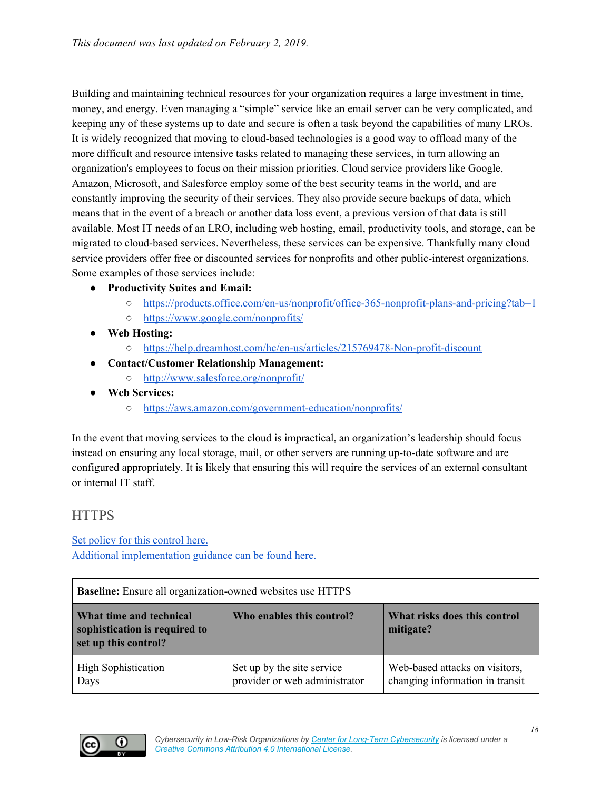Building and maintaining technical resources for your organization requires a large investment in time, money, and energy. Even managing a "simple" service like an email server can be very complicated, and keeping any of these systems up to date and secure is often a task beyond the capabilities of many LROs. It is widely recognized that moving to cloud-based technologies is a good way to offload many of the more difficult and resource intensive tasks related to managing these services, in turn allowing an organization's employees to focus on their mission priorities. Cloud service providers like Google, Amazon, Microsoft, and Salesforce employ some of the best security teams in the world, and are constantly improving the security of their services. They also provide secure backups of data, which means that in the event of a breach or another data loss event, a previous version of that data is still available. Most IT needs of an LRO, including web hosting, email, productivity tools, and storage, can be migrated to cloud-based services. Nevertheless, these services can be expensive. Thankfully many cloud service providers offer free or discounted services for nonprofits and other public-interest organizations. Some examples of those services include:

- **● Productivity Suites and Email:**
	- <https://products.office.com/en-us/nonprofit/office-365-nonprofit-plans-and-pricing?tab=1>
	- <https://www.google.com/nonprofits/>
- **● Web Hosting:**
	- <https://help.dreamhost.com/hc/en-us/articles/215769478-Non-profit-discount>
- **● Contact/Customer Relationship Management:**
	- <http://www.salesforce.org/nonprofit/>
- **● Web Services:**
	- <https://aws.amazon.com/government-education/nonprofits/>

In the event that moving services to the cloud is impractical, an organization's leadership should focus instead on ensuring any local storage, mail, or other servers are running up-to-date software and are configured appropriately. It is likely that ensuring this will require the services of an external consultant or internal IT staff.

#### <span id="page-17-0"></span>**HTTPS**

#### Set policy for this [control](#page-30-0) here. Additional [implementation](#page-36-0) guidance can be found here.

| <b>Baseline:</b> Ensure all organization-owned websites use HTTPS                                                                                          |                                                             |                                                                   |  |  |
|------------------------------------------------------------------------------------------------------------------------------------------------------------|-------------------------------------------------------------|-------------------------------------------------------------------|--|--|
| Who enables this control?<br>What risks does this control<br>What time and technical<br>sophistication is required to<br>mitigate?<br>set up this control? |                                                             |                                                                   |  |  |
| <b>High Sophistication</b><br>Days                                                                                                                         | Set up by the site service<br>provider or web administrator | Web-based attacks on visitors,<br>changing information in transit |  |  |

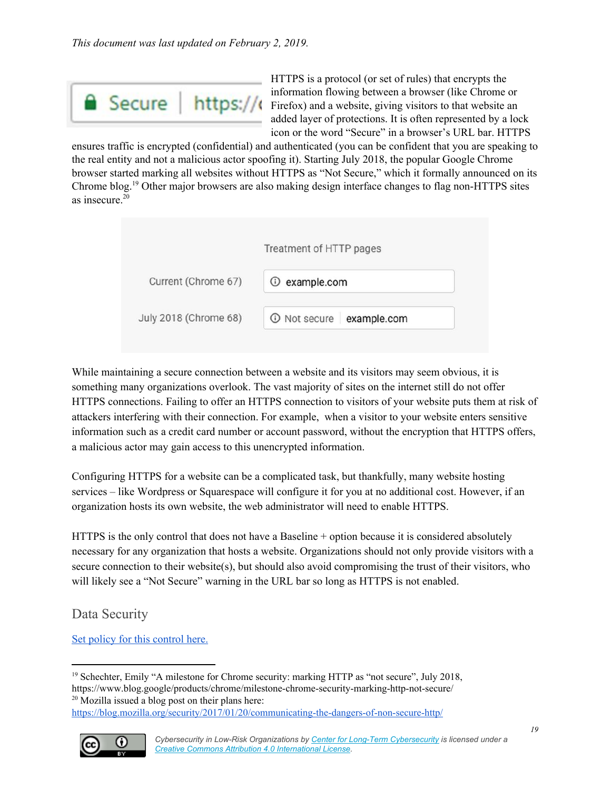

HTTPS is a protocol (or set of rules) that encrypts the information flowing between a browser (like Chrome or **Figure Figure Figure https://** Firefox) and a website, giving visitors to that website an added layer of protections. It is often represented by a lock icon or the word "Secure" in a browser's URL bar. HTTPS

ensures traffic is encrypted (confidential) and authenticated (you can be confident that you are speaking to the real entity and not a malicious actor spoofing it). Starting July 2018, the popular Google Chrome browser started marking all websites without HTTPS as "Not Secure," which it formally announced on its Chrome blog.<sup>19</sup> Other major browsers are also making design interface changes to flag non-HTTPS sites as insecure. 20

|                       | Treatment of HTTP pages  |  |
|-----------------------|--------------------------|--|
| Current (Chrome 67)   | <b>1</b> example.com     |  |
| July 2018 (Chrome 68) | 1 Not secure example.com |  |

While maintaining a secure connection between a website and its visitors may seem obvious, it is something many organizations overlook. The vast majority of sites on the internet still do not offer HTTPS connections. Failing to offer an HTTPS connection to visitors of your website puts them at risk of attackers interfering with their connection. For example, when a visitor to your website enters sensitive information such as a credit card number or account password, without the encryption that HTTPS offers, a malicious actor may gain access to this unencrypted information.

Configuring HTTPS for a website can be a complicated task, but thankfully, many website hosting services – like Wordpress or Squarespace will configure it for you at no additional cost. However, if an organization hosts its own website, the web administrator will need to enable HTTPS.

HTTPS is the only control that does not have a Baseline + option because it is considered absolutely necessary for any organization that hosts a website. Organizations should not only provide visitors with a secure connection to their website(s), but should also avoid compromising the trust of their visitors, who will likely see a "Not Secure" warning in the URL bar so long as HTTPS is not enabled.

<span id="page-18-0"></span>Data Security

Set policy for this [control](#page-31-0) here.

<https://blog.mozilla.org/security/2017/01/20/communicating-the-dangers-of-non-secure-http/>



<sup>&</sup>lt;sup>19</sup> Schechter, Emily "A milestone for Chrome security: marking HTTP as "not secure", July 2018, https://www.blog.google/products/chrome/milestone-chrome-security-marking-http-not-secure/  $20$  Mozilla issued a blog post on their plans here: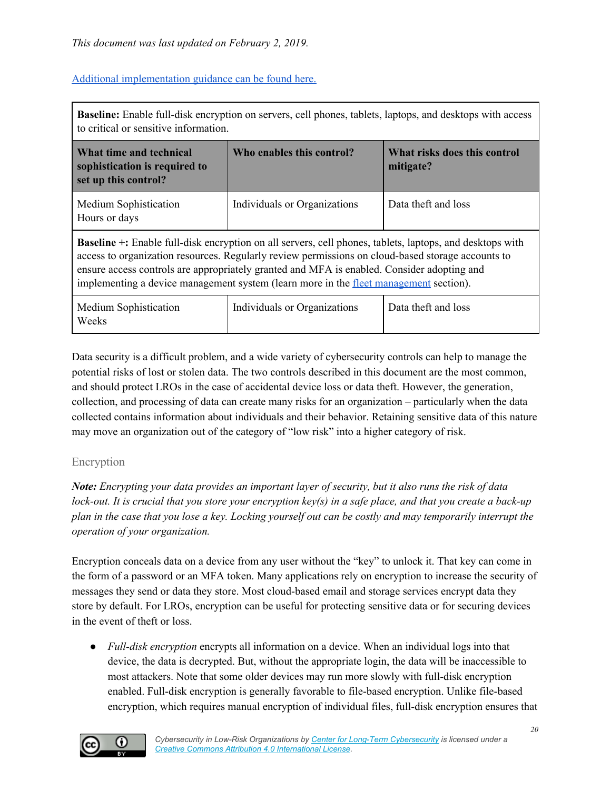#### Additional [implementation](#page-37-0) guidance can be found here.

| <b>Baseline:</b> Enable full-disk encryption on servers, cell phones, tablets, laptops, and desktops with access<br>to critical or sensitive information.                                                                                                                                                                                                                                                          |                                                                        |                     |  |
|--------------------------------------------------------------------------------------------------------------------------------------------------------------------------------------------------------------------------------------------------------------------------------------------------------------------------------------------------------------------------------------------------------------------|------------------------------------------------------------------------|---------------------|--|
| What time and technical<br>sophistication is required to<br>set up this control?                                                                                                                                                                                                                                                                                                                                   | Who enables this control?<br>What risks does this control<br>mitigate? |                     |  |
| Medium Sophistication<br>Hours or days                                                                                                                                                                                                                                                                                                                                                                             | Individuals or Organizations                                           | Data theft and loss |  |
| <b>Baseline</b> +: Enable full-disk encryption on all servers, cell phones, tablets, laptops, and desktops with<br>access to organization resources. Regularly review permissions on cloud-based storage accounts to<br>ensure access controls are appropriately granted and MFA is enabled. Consider adopting and<br>implementing a device management system (learn more in the <u>fleet management</u> section). |                                                                        |                     |  |
| Medium Sophistication<br>Weeks                                                                                                                                                                                                                                                                                                                                                                                     | Individuals or Organizations                                           | Data theft and loss |  |

Data security is a difficult problem, and a wide variety of cybersecurity controls can help to manage the potential risks of lost or stolen data. The two controls described in this document are the most common, and should protect LROs in the case of accidental device loss or data theft. However, the generation, collection, and processing of data can create many risks for an organization – particularly when the data collected contains information about individuals and their behavior. Retaining sensitive data of this nature may move an organization out of the category of "low risk" into a higher category of risk.

#### <span id="page-19-0"></span>Encryption

Note: Encrypting your data provides an important layer of security, but it also runs the risk of data lock-out. It is crucial that you store your encryption  $key(s)$  in a safe place, and that you create a back-up plan in the case that you lose a key. Locking yourself out can be costly and may temporarily interrupt the *operation of your organization.*

Encryption conceals data on a device from any user without the "key" to unlock it. That key can come in the form of a password or an MFA token. Many applications rely on encryption to increase the security of messages they send or data they store. Most cloud-based email and storage services encrypt data they store by default. For LROs, encryption can be useful for protecting sensitive data or for securing devices in the event of theft or loss.

● *Full-disk encryption* encrypts all information on a device. When an individual logs into that device, the data is decrypted. But, without the appropriate login, the data will be inaccessible to most attackers. Note that some older devices may run more slowly with full-disk encryption enabled. Full-disk encryption is generally favorable to file-based encryption. Unlike file-based encryption, which requires manual encryption of individual files, full-disk encryption ensures that

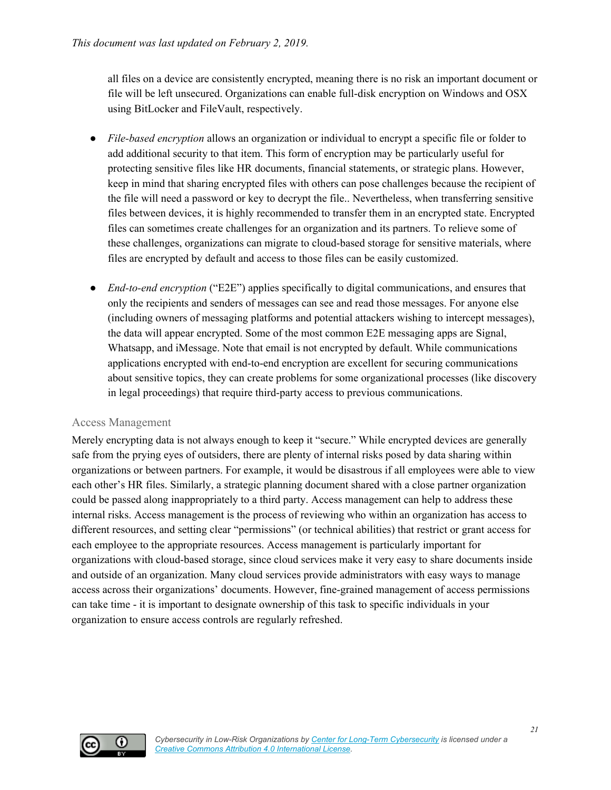all files on a device are consistently encrypted, meaning there is no risk an important document or file will be left unsecured. Organizations can enable full-disk encryption on Windows and OSX using BitLocker and FileVault, respectively.

- *File-based encryption* allows an organization or individual to encrypt a specific file or folder to add additional security to that item. This form of encryption may be particularly useful for protecting sensitive files like HR documents, financial statements, or strategic plans. However, keep in mind that sharing encrypted files with others can pose challenges because the recipient of the file will need a password or key to decrypt the file.. Nevertheless, when transferring sensitive files between devices, it is highly recommended to transfer them in an encrypted state. Encrypted files can sometimes create challenges for an organization and its partners. To relieve some of these challenges, organizations can migrate to cloud-based storage for sensitive materials, where files are encrypted by default and access to those files can be easily customized.
- *● End-to-end encryption* ("E2E") applies specifically to digital communications, and ensures that only the recipients and senders of messages can see and read those messages. For anyone else (including owners of messaging platforms and potential attackers wishing to intercept messages), the data will appear encrypted. Some of the most common E2E messaging apps are Signal, Whatsapp, and iMessage. Note that email is not encrypted by default. While communications applications encrypted with end-to-end encryption are excellent for securing communications about sensitive topics, they can create problems for some organizational processes (like discovery in legal proceedings) that require third-party access to previous communications.

#### <span id="page-20-0"></span>Access Management

Merely encrypting data is not always enough to keep it "secure." While encrypted devices are generally safe from the prying eyes of outsiders, there are plenty of internal risks posed by data sharing within organizations or between partners. For example, it would be disastrous if all employees were able to view each other's HR files. Similarly, a strategic planning document shared with a close partner organization could be passed along inappropriately to a third party. Access management can help to address these internal risks. Access management is the process of reviewing who within an organization has access to different resources, and setting clear "permissions" (or technical abilities) that restrict or grant access for each employee to the appropriate resources. Access management is particularly important for organizations with cloud-based storage, since cloud services make it very easy to share documents inside and outside of an organization. Many cloud services provide administrators with easy ways to manage access across their organizations' documents. However, fine-grained management of access permissions can take time - it is important to designate ownership of this task to specific individuals in your organization to ensure access controls are regularly refreshed.

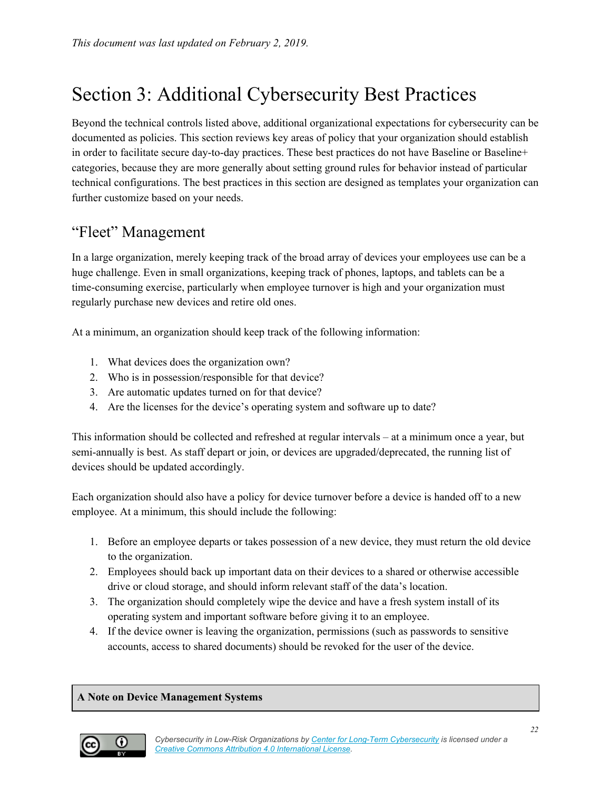## <span id="page-21-0"></span>Section 3: Additional Cybersecurity Best Practices

Beyond the technical controls listed above, additional organizational expectations for cybersecurity can be documented as policies. This section reviews key areas of policy that your organization should establish in order to facilitate secure day-to-day practices. These best practices do not have Baseline or Baseline+ categories, because they are more generally about setting ground rules for behavior instead of particular technical configurations. The best practices in this section are designed as templates your organization can further customize based on your needs.

### <span id="page-21-1"></span>"Fleet" Management

In a large organization, merely keeping track of the broad array of devices your employees use can be a huge challenge. Even in small organizations, keeping track of phones, laptops, and tablets can be a time-consuming exercise, particularly when employee turnover is high and your organization must regularly purchase new devices and retire old ones.

At a minimum, an organization should keep track of the following information:

- 1. What devices does the organization own?
- 2. Who is in possession/responsible for that device?
- 3. Are automatic updates turned on for that device?
- 4. Are the licenses for the device's operating system and software up to date?

This information should be collected and refreshed at regular intervals – at a minimum once a year, but semi-annually is best. As staff depart or join, or devices are upgraded/deprecated, the running list of devices should be updated accordingly.

Each organization should also have a policy for device turnover before a device is handed off to a new employee. At a minimum, this should include the following:

- 1. Before an employee departs or takes possession of a new device, they must return the old device to the organization.
- 2. Employees should back up important data on their devices to a shared or otherwise accessible drive or cloud storage, and should inform relevant staff of the data's location.
- 3. The organization should completely wipe the device and have a fresh system install of its operating system and important software before giving it to an employee.
- 4. If the device owner is leaving the organization, permissions (such as passwords to sensitive accounts, access to shared documents) should be revoked for the user of the device.

#### **A Note on Device Management Systems**

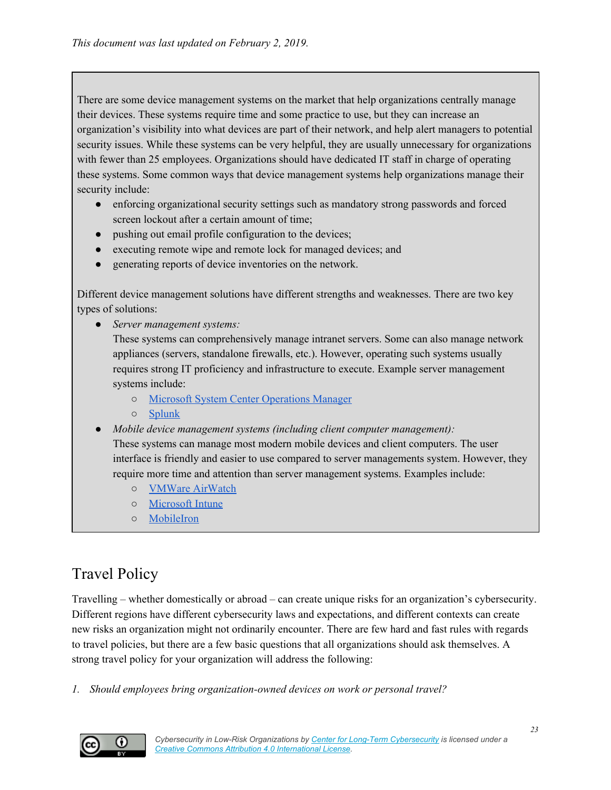There are some device management systems on the market that help organizations centrally manage their devices. These systems require time and some practice to use, but they can increase an organization's visibility into what devices are part of their network, and help alert managers to potential security issues. While these systems can be very helpful, they are usually unnecessary for organizations with fewer than 25 employees. Organizations should have dedicated IT staff in charge of operating these systems. Some common ways that device management systems help organizations manage their security include:

- enforcing organizational security settings such as mandatory strong passwords and forced screen lockout after a certain amount of time;
- pushing out email profile configuration to the devices;
- executing remote wipe and remote lock for managed devices; and
- generating reports of device inventories on the network.

Different device management solutions have different strengths and weaknesses. There are two key types of solutions:

● *Server management systems:*

These systems can comprehensively manage intranet servers. Some can also manage network appliances (servers, standalone firewalls, etc.). However, operating such systems usually requires strong IT proficiency and infrastructure to execute. Example server management systems include:

- Microsoft System Center [Operations](https://docs.microsoft.com/en-us/system-center/scom/deploy-overview?view=sc-om-1807) Manager
- [Splunk](https://www.splunk.com/)
- *Mobile device management systems (including client computer management):*

These systems can manage most modern mobile devices and client computers. The user interface is friendly and easier to use compared to server managements system. However, they require more time and attention than server management systems. Examples include:

- VMWare [AirWatch](https://www.air-watch.com/)
- [Microsoft](https://www.microsoft.com/en-us/cloud-platform/microsoft-intune) Intune
- [MobileIron](https://www.mobileiron.com/en/modern-security-modern-work)

## <span id="page-22-0"></span>Travel Policy

Travelling – whether domestically or abroad – can create unique risks for an organization's cybersecurity. Different regions have different cybersecurity laws and expectations, and different contexts can create new risks an organization might not ordinarily encounter. There are few hard and fast rules with regards to travel policies, but there are a few basic questions that all organizations should ask themselves. A strong travel policy for your organization will address the following:

*1. Should employees bring organization-owned devices on work or personal travel?*

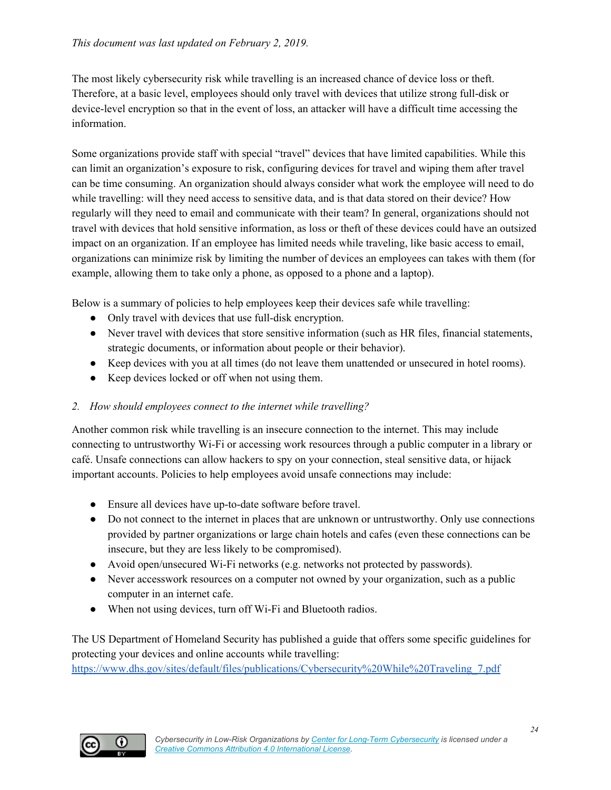The most likely cybersecurity risk while travelling is an increased chance of device loss or theft. Therefore, at a basic level, employees should only travel with devices that utilize strong full-disk or device-level encryption so that in the event of loss, an attacker will have a difficult time accessing the information.

Some organizations provide staff with special "travel" devices that have limited capabilities. While this can limit an organization's exposure to risk, configuring devices for travel and wiping them after travel can be time consuming. An organization should always consider what work the employee will need to do while travelling: will they need access to sensitive data, and is that data stored on their device? How regularly will they need to email and communicate with their team? In general, organizations should not travel with devices that hold sensitive information, as loss or theft of these devices could have an outsized impact on an organization. If an employee has limited needs while traveling, like basic access to email, organizations can minimize risk by limiting the number of devices an employees can takes with them (for example, allowing them to take only a phone, as opposed to a phone and a laptop).

Below is a summary of policies to help employees keep their devices safe while travelling:

- Only travel with devices that use full-disk encryption.
- Never travel with devices that store sensitive information (such as HR files, financial statements, strategic documents, or information about people or their behavior).
- Keep devices with you at all times (do not leave them unattended or unsecured in hotel rooms).
- Keep devices locked or off when not using them.

#### *2. How should employees connect to the internet while travelling?*

Another common risk while travelling is an insecure connection to the internet. This may include connecting to untrustworthy Wi-Fi or accessing work resources through a public computer in a library or café. Unsafe connections can allow hackers to spy on your connection, steal sensitive data, or hijack important accounts. Policies to help employees avoid unsafe connections may include:

- Ensure all devices have up-to-date software before travel.
- Do not connect to the internet in places that are unknown or untrustworthy. Only use connections provided by partner organizations or large chain hotels and cafes (even these connections can be insecure, but they are less likely to be compromised).
- Avoid open/unsecured Wi-Fi networks (e.g. networks not protected by passwords).
- Never accesswork resources on a computer not owned by your organization, such as a public computer in an internet cafe.
- When not using devices, turn off Wi-Fi and Bluetooth radios.

The US Department of Homeland Security has published a guide that offers some specific guidelines for protecting your devices and online accounts while travelling:

[https://www.dhs.gov/sites/default/files/publications/Cybersecurity%20While%20Traveling\\_7.pdf](https://www.dhs.gov/sites/default/files/publications/Cybersecurity%20While%20Traveling_7.pdf)

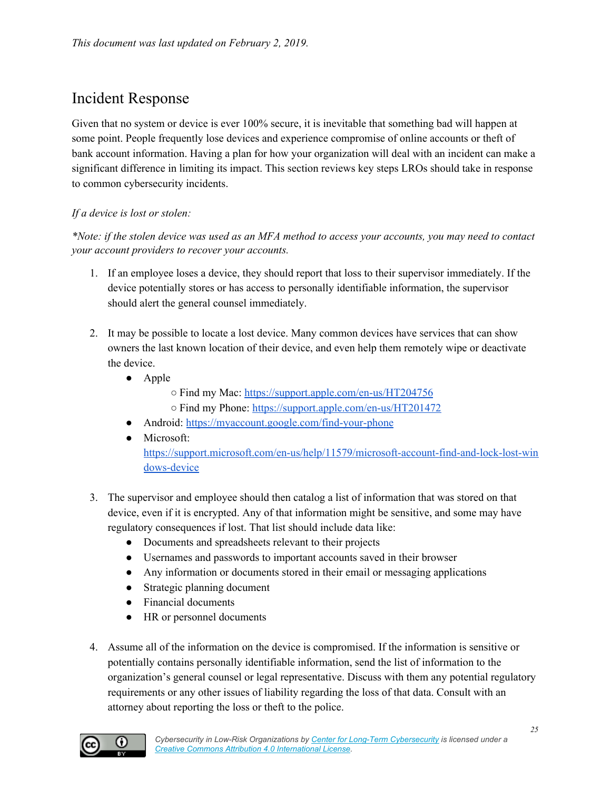## <span id="page-24-0"></span>Incident Response

Given that no system or device is ever 100% secure, it is inevitable that something bad will happen at some point. People frequently lose devices and experience compromise of online accounts or theft of bank account information. Having a plan for how your organization will deal with an incident can make a significant difference in limiting its impact. This section reviews key steps LROs should take in response to common cybersecurity incidents.

#### *If a device is lost or stolen:*

\*Note: if the stolen device was used as an MFA method to access your accounts, you may need to contact *your account providers to recover your accounts.*

- 1. If an employee loses a device, they should report that loss to their supervisor immediately. If the device potentially stores or has access to personally identifiable information, the supervisor should alert the general counsel immediately.
- 2. It may be possible to locate a lost device. Many common devices have services that can show owners the last known location of their device, and even help them remotely wipe or deactivate the device.
	- Apple
		- Find my Mac: <https://support.apple.com/en-us/HT204756>
		- Find my Phone: <https://support.apple.com/en-us/HT201472>
	- Android: <https://myaccount.google.com/find-your-phone>
	- Microsoft: [https://support.microsoft.com/en-us/help/11579/microsoft-account-find-and-lock-lost-win](https://support.microsoft.com/en-us/help/11579/microsoft-account-find-and-lock-lost-windows-device) [dows-device](https://support.microsoft.com/en-us/help/11579/microsoft-account-find-and-lock-lost-windows-device)
- 3. The supervisor and employee should then catalog a list of information that was stored on that device, even if it is encrypted. Any of that information might be sensitive, and some may have regulatory consequences if lost. That list should include data like:
	- Documents and spreadsheets relevant to their projects
	- Usernames and passwords to important accounts saved in their browser
	- Any information or documents stored in their email or messaging applications
	- Strategic planning document
	- Financial documents
	- HR or personnel documents
- 4. Assume all of the information on the device is compromised. If the information is sensitive or potentially contains personally identifiable information, send the list of information to the organization's general counsel or legal representative. Discuss with them any potential regulatory requirements or any other issues of liability regarding the loss of that data. Consult with an attorney about reporting the loss or theft to the police.

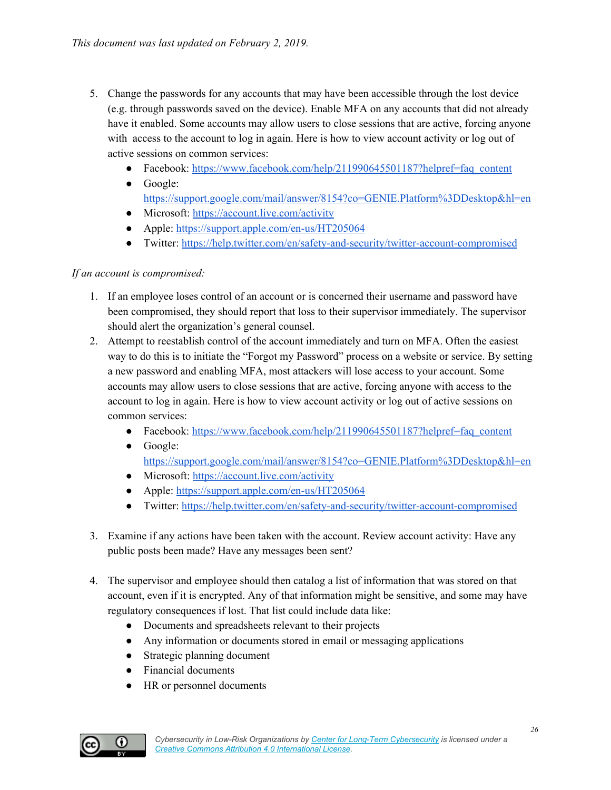- 5. Change the passwords for any accounts that may have been accessible through the lost device (e.g. through passwords saved on the device). Enable MFA on any accounts that did not already have it enabled. Some accounts may allow users to close sessions that are active, forcing anyone with access to the account to log in again. Here is how to view account activity or log out of active sessions on common services:
	- Facebook: [https://www.facebook.com/help/211990645501187?helpref=faq\\_content](https://www.facebook.com/help/211990645501187?helpref=faq_content)
	- Google:
		- <https://support.google.com/mail/answer/8154?co=GENIE.Platform%3DDesktop&hl=en>
	- Microsoft: <https://account.live.com/activity>
	- Apple: <https://support.apple.com/en-us/HT205064>
	- Twitter: <https://help.twitter.com/en/safety-and-security/twitter-account-compromised>

#### *If an account is compromised:*

- 1. If an employee loses control of an account or is concerned their username and password have been compromised, they should report that loss to their supervisor immediately. The supervisor should alert the organization's general counsel.
- 2. Attempt to reestablish control of the account immediately and turn on MFA. Often the easiest way to do this is to initiate the "Forgot my Password" process on a website or service. By setting a new password and enabling MFA, most attackers will lose access to your account. Some accounts may allow users to close sessions that are active, forcing anyone with access to the account to log in again. Here is how to view account activity or log out of active sessions on common services:
	- Facebook: [https://www.facebook.com/help/211990645501187?helpref=faq\\_content](https://www.facebook.com/help/211990645501187?helpref=faq_content)
	- Google:
		- <https://support.google.com/mail/answer/8154?co=GENIE.Platform%3DDesktop&hl=en>
	- Microsoft: <https://account.live.com/activity>
	- Apple: <https://support.apple.com/en-us/HT205064>
	- Twitter: <https://help.twitter.com/en/safety-and-security/twitter-account-compromised>
- 3. Examine if any actions have been taken with the account. Review account activity: Have any public posts been made? Have any messages been sent?
- 4. The supervisor and employee should then catalog a list of information that was stored on that account, even if it is encrypted. Any of that information might be sensitive, and some may have regulatory consequences if lost. That list could include data like:
	- Documents and spreadsheets relevant to their projects
	- Any information or documents stored in email or messaging applications
	- Strategic planning document
	- Financial documents
	- HR or personnel documents

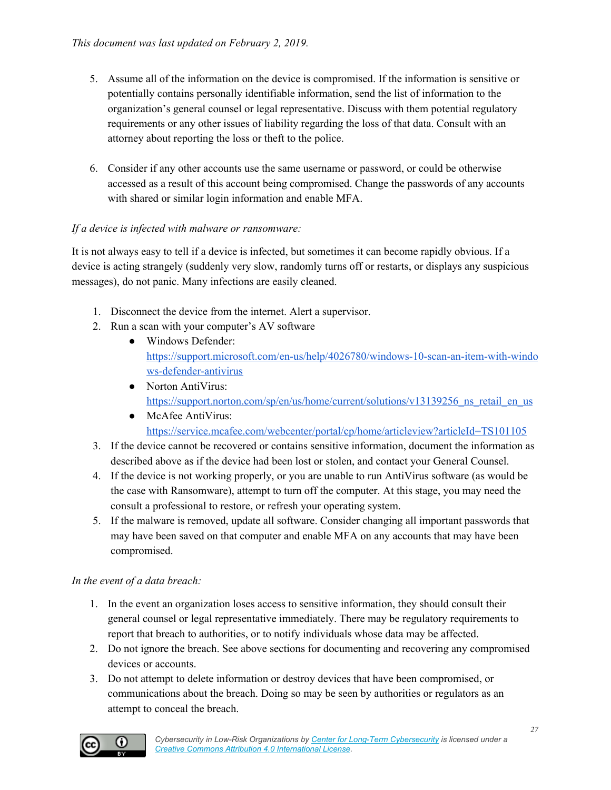- 5. Assume all of the information on the device is compromised. If the information is sensitive or potentially contains personally identifiable information, send the list of information to the organization's general counsel or legal representative. Discuss with them potential regulatory requirements or any other issues of liability regarding the loss of that data. Consult with an attorney about reporting the loss or theft to the police.
- 6. Consider if any other accounts use the same username or password, or could be otherwise accessed as a result of this account being compromised. Change the passwords of any accounts with shared or similar login information and enable MFA.

#### *If a device is infected with malware or ransomware:*

It is not always easy to tell if a device is infected, but sometimes it can become rapidly obvious. If a device is acting strangely (suddenly very slow, randomly turns off or restarts, or displays any suspicious messages), do not panic. Many infections are easily cleaned.

- 1. Disconnect the device from the internet. Alert a supervisor.
- 2. Run a scan with your computer's AV software
	- Windows Defender: [https://support.microsoft.com/en-us/help/4026780/windows-10-scan-an-item-with-windo](https://support.microsoft.com/en-us/help/4026780/windows-10-scan-an-item-with-windows-defender-antivirus) [ws-defender-antivirus](https://support.microsoft.com/en-us/help/4026780/windows-10-scan-an-item-with-windows-defender-antivirus)
	- Norton AntiVirus: https://support.norton.com/sp/en/us/home/current/solutions/v13139256 ns retail en us
	- McAfee AntiVirus: <https://service.mcafee.com/webcenter/portal/cp/home/articleview?articleId=TS101105>
- 3. If the device cannot be recovered or contains sensitive information, document the information as described above as if the device had been lost or stolen, and contact your General Counsel.
- 4. If the device is not working properly, or you are unable to run AntiVirus software (as would be the case with Ransomware), attempt to turn off the computer. At this stage, you may need the consult a professional to restore, or refresh your operating system.
- 5. If the malware is removed, update all software. Consider changing all important passwords that may have been saved on that computer and enable MFA on any accounts that may have been compromised.

#### *In the event of a data breach:*

- 1. In the event an organization loses access to sensitive information, they should consult their general counsel or legal representative immediately. There may be regulatory requirements to report that breach to authorities, or to notify individuals whose data may be affected.
- 2. Do not ignore the breach. See above sections for documenting and recovering any compromised devices or accounts.
- 3. Do not attempt to delete information or destroy devices that have been compromised, or communications about the breach. Doing so may be seen by authorities or regulators as an attempt to conceal the breach.

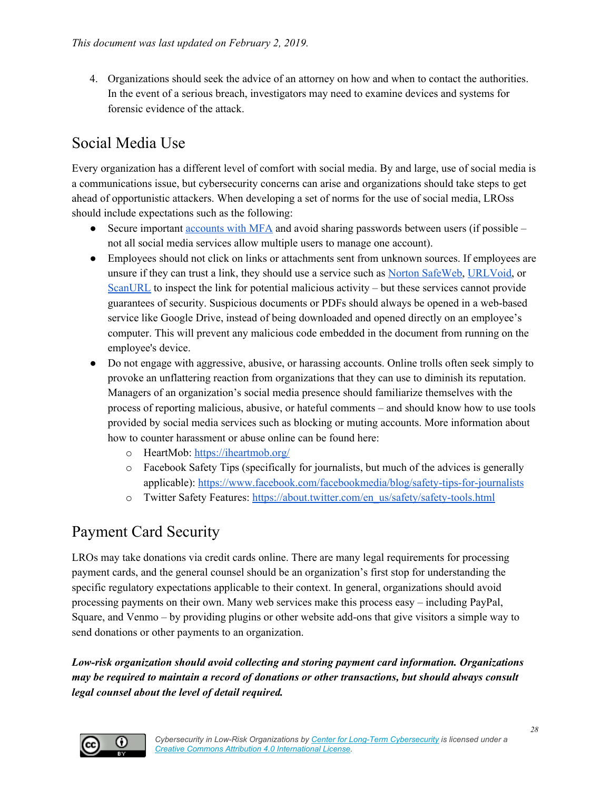4. Organizations should seek the advice of an attorney on how and when to contact the authorities. In the event of a serious breach, investigators may need to examine devices and systems for forensic evidence of the attack.

## <span id="page-27-0"></span>Social Media Use

Every organization has a different level of comfort with social media. By and large, use of social media is a communications issue, but cybersecurity concerns can arise and organizations should take steps to get ahead of opportunistic attackers. When developing a set of norms for the use of social media, LROss should include expectations such as the following:

- Secure important [accounts](#page-12-0) with MFA and avoid sharing passwords between users (if possible not all social media services allow multiple users to manage one account).
- Employees should not click on links or attachments sent from unknown sources. If employees are unsure if they can trust a link, they should use a service such as Norton [SafeWeb,](https://safeweb.norton.com/) [URLVoid,](http://www.urlvoid.com/) or [ScanURL](http://scanurl.net/) to inspect the link for potential malicious activity – but these services cannot provide guarantees of security. Suspicious documents or PDFs should always be opened in a web-based service like Google Drive, instead of being downloaded and opened directly on an employee's computer. This will prevent any malicious code embedded in the document from running on the employee's device.
- Do not engage with aggressive, abusive, or harassing accounts. Online trolls often seek simply to provoke an unflattering reaction from organizations that they can use to diminish its reputation. Managers of an organization's social media presence should familiarize themselves with the process of reporting malicious, abusive, or hateful comments – and should know how to use tools provided by social media services such as blocking or muting accounts. More information about how to counter harassment or abuse online can be found here:
	- o HeartMob: <https://iheartmob.org/>
	- o Facebook Safety Tips (specifically for journalists, but much of the advices is generally applicable): <https://www.facebook.com/facebookmedia/blog/safety-tips-for-journalists>
	- o Twitter Safety Features: [https://about.twitter.com/en\\_us/safety/safety-tools.html](https://about.twitter.com/en_us/safety/safety-tools.html)

## <span id="page-27-1"></span>Payment Card Security

LROs may take donations via credit cards online. There are many legal requirements for processing payment cards, and the general counsel should be an organization's first stop for understanding the specific regulatory expectations applicable to their context. In general, organizations should avoid processing payments on their own. Many web services make this process easy – including PayPal, Square, and Venmo – by providing plugins or other website add-ons that give visitors a simple way to send donations or other payments to an organization.

*Low-risk organization should avoid collecting and storing payment card information. Organizations may be required to maintain a record of donations or other transactions, but should always consult legal counsel about the level of detail required.*

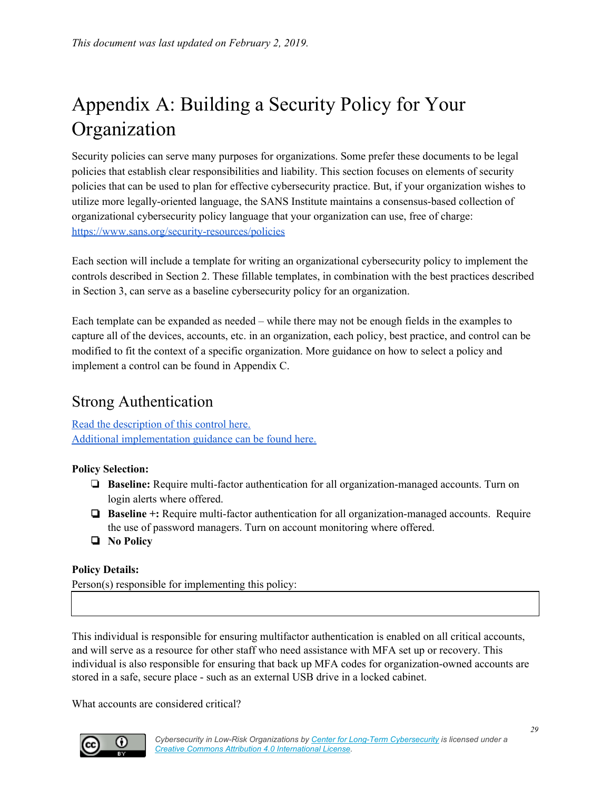## <span id="page-28-0"></span>Appendix A: Building a Security Policy for Your Organization

Security policies can serve many purposes for organizations. Some prefer these documents to be legal policies that establish clear responsibilities and liability. This section focuses on elements of security policies that can be used to plan for effective cybersecurity practice. But, if your organization wishes to utilize more legally-oriented language, the SANS Institute maintains a consensus-based collection of organizational cybersecurity policy language that your organization can use, free of charge: <https://www.sans.org/security-resources/policies>

Each section will include a template for writing an organizational cybersecurity policy to implement the controls described in Section 2. These fillable templates, in combination with the best practices described in Section 3, can serve as a baseline cybersecurity policy for an organization.

Each template can be expanded as needed – while there may not be enough fields in the examples to capture all of the devices, accounts, etc. in an organization, each policy, best practice, and control can be modified to fit the context of a specific organization. More guidance on how to select a policy and implement a control can be found in Appendix C.

## <span id="page-28-1"></span>Strong Authentication

Read the [description](#page-12-0) of this control here. Additional [implementation](#page-33-0) guidance can be found here.

**Policy Selection:**

- ❏ **Baseline:** Require multi-factor authentication for all organization-managed accounts. Turn on login alerts where offered.
- ❏ **Baseline +:** Require multi-factor authentication for all organization-managed accounts. Require the use of password managers. Turn on account monitoring where offered.
- ❏ **No Policy**

#### **Policy Details:**

Person(s) responsible for implementing this policy:

This individual is responsible for ensuring multifactor authentication is enabled on all critical accounts, and will serve as a resource for other staff who need assistance with MFA set up or recovery. This individual is also responsible for ensuring that back up MFA codes for organization-owned accounts are stored in a safe, secure place - such as an external USB drive in a locked cabinet.

What accounts are considered critical?

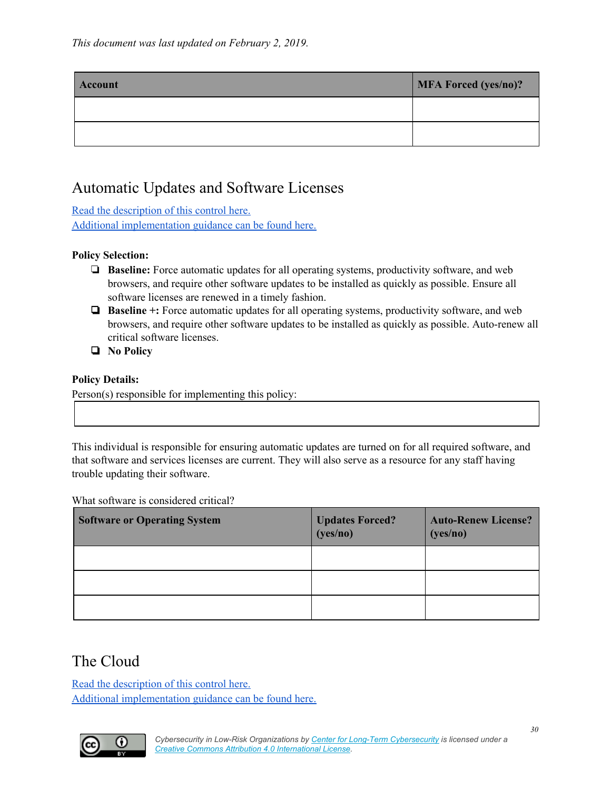| Account | MFA Forced (yes/no)? |
|---------|----------------------|
|         |                      |
|         |                      |

## <span id="page-29-0"></span>Automatic Updates and Software Licenses

Read the [description](#page-15-0) of this control here. Additional [implementation](#page-34-0) guidance can be found here.

#### **Policy Selection:**

- ❏ **Baseline:** Force automatic updates for all operating systems, productivity software, and web browsers, and require other software updates to be installed as quickly as possible. Ensure all software licenses are renewed in a timely fashion.
- ❏ **Baseline +:** Force automatic updates for all operating systems, productivity software, and web browsers, and require other software updates to be installed as quickly as possible. Auto-renew all critical software licenses.
- ❏ **No Policy**

#### **Policy Details:**

Person(s) responsible for implementing this policy:

This individual is responsible for ensuring automatic updates are turned on for all required software, and that software and services licenses are current. They will also serve as a resource for any staff having trouble updating their software.

What software is considered critical?

| <b>Software or Operating System</b> | <b>Updates Forced?</b><br>(yes/no) | <b>Auto-Renew License?</b><br>(yes/no) |
|-------------------------------------|------------------------------------|----------------------------------------|
|                                     |                                    |                                        |
|                                     |                                    |                                        |
|                                     |                                    |                                        |

### <span id="page-29-1"></span>The Cloud

Read the [description](#page-16-0) of this control here. Additional [implementation](#page-34-3) guidance can be found here.

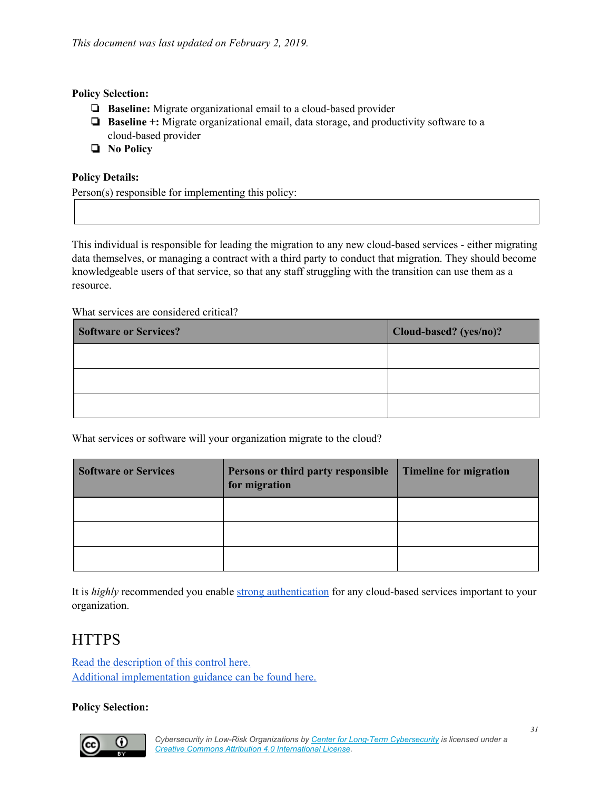#### **Policy Selection:**

- ❏ **Baseline:** Migrate organizational email to a cloud-based provider
- ❏ **Baseline +:** Migrate organizational email, data storage, and productivity software to a cloud-based provider
- ❏ **No Policy**

#### **Policy Details:**

Person(s) responsible for implementing this policy:

This individual is responsible for leading the migration to any new cloud-based services - either migrating data themselves, or managing a contract with a third party to conduct that migration. They should become knowledgeable users of that service, so that any staff struggling with the transition can use them as a resource.

What services are considered critical?

| <b>Software or Services?</b> | Cloud-based? (yes/no)? |
|------------------------------|------------------------|
|                              |                        |
|                              |                        |
|                              |                        |

What services or software will your organization migrate to the cloud?

| <b>Software or Services</b> | Persons or third party responsible<br>for migration | <b>Timeline for migration</b> |
|-----------------------------|-----------------------------------------------------|-------------------------------|
|                             |                                                     |                               |
|                             |                                                     |                               |
|                             |                                                     |                               |

It is *highly* recommended you enable strong [authentication](#page-12-0) for any cloud-based services important to your organization.

### <span id="page-30-0"></span>**HTTPS**

Read the [description](#page-17-0) of this control here. Additional [implementation](#page-36-0) guidance can be found here.

#### **Policy Selection:**

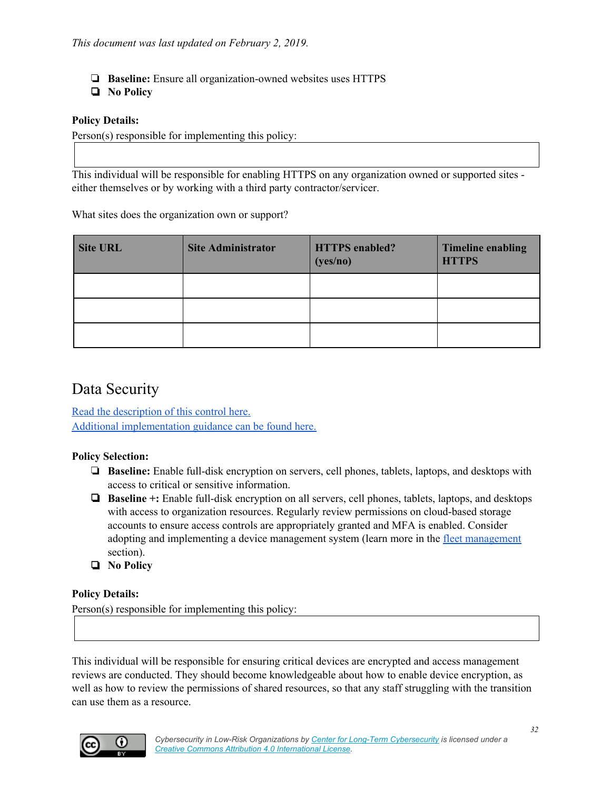- ❏ **Baseline:** Ensure all organization-owned websites uses HTTPS
- ❏ **No Policy**

#### **Policy Details:**

Person(s) responsible for implementing this policy:

This individual will be responsible for enabling HTTPS on any organization owned or supported sites either themselves or by working with a third party contractor/servicer.

What sites does the organization own or support?

| <b>Site URL</b> | <b>Site Administrator</b> | <b>HTTPS</b> enabled?<br>(yes/no) | <b>Timeline enabling</b><br><b>HTTPS</b> |
|-----------------|---------------------------|-----------------------------------|------------------------------------------|
|                 |                           |                                   |                                          |
|                 |                           |                                   |                                          |
|                 |                           |                                   |                                          |

#### <span id="page-31-0"></span>Data Security

Read the [description](#page-18-0) of this control here. Additional [implementation](#page-37-0) guidance can be found here.

#### **Policy Selection:**

- ❏ **Baseline:** Enable full-disk encryption on servers, cell phones, tablets, laptops, and desktops with access to critical or sensitive information.
- ❏ **Baseline +:** Enable full-disk encryption on all servers, cell phones, tablets, laptops, and desktops with access to organization resources. Regularly review permissions on cloud-based storage accounts to ensure access controls are appropriately granted and MFA is enabled. Consider adopting and implementing a device management system (learn more in the fleet [management](#page-21-1) section).
- ❏ **No Policy**

#### **Policy Details:**

Person(s) responsible for implementing this policy:

This individual will be responsible for ensuring critical devices are encrypted and access management reviews are conducted. They should become knowledgeable about how to enable device encryption, as well as how to review the permissions of shared resources, so that any staff struggling with the transition can use them as a resource.

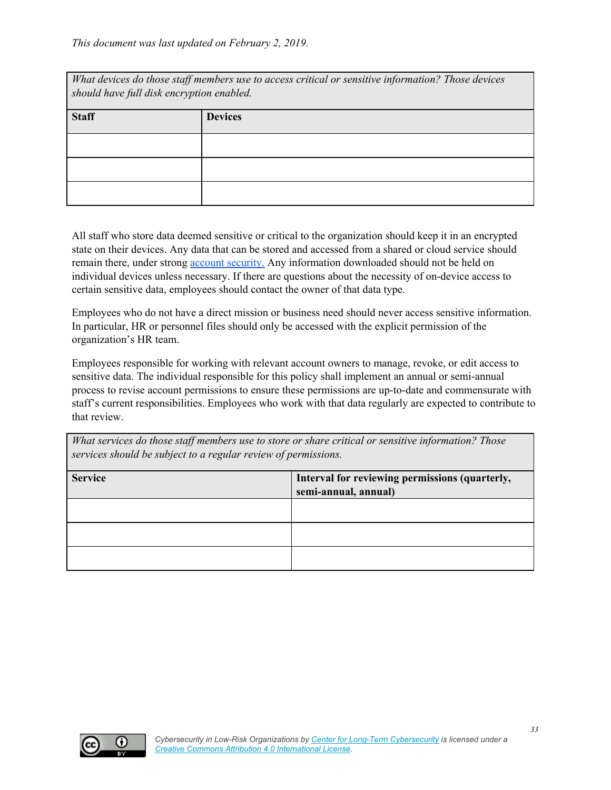| What devices do those staff members use to access critical or sensitive information? Those devices<br>should have full disk encryption enabled. |                |  |  |
|-------------------------------------------------------------------------------------------------------------------------------------------------|----------------|--|--|
| <b>Staff</b>                                                                                                                                    | <b>Devices</b> |  |  |
|                                                                                                                                                 |                |  |  |
|                                                                                                                                                 |                |  |  |
|                                                                                                                                                 |                |  |  |

All staff who store data deemed sensitive or critical to the organization should keep it in an encrypted state on their devices. Any data that can be stored and accessed from a shared or cloud service should remain there, under strong **account security**. Any information downloaded should not be held on individual devices unless necessary. If there are questions about the necessity of on-device access to certain sensitive data, employees should contact the owner of that data type.

Employees who do not have a direct mission or business need should never access sensitive information. In particular, HR or personnel files should only be accessed with the explicit permission of the organization's HR team.

Employees responsible for working with relevant account owners to manage, revoke, or edit access to sensitive data. The individual responsible for this policy shall implement an annual or semi-annual process to revise account permissions to ensure these permissions are up-to-date and commensurate with staff's current responsibilities. Employees who work with that data regularly are expected to contribute to that review.

| What services do those staff members use to store or share critical or sensitive information? Those<br>services should be subject to a regular review of permissions. |                                                |  |  |  |
|-----------------------------------------------------------------------------------------------------------------------------------------------------------------------|------------------------------------------------|--|--|--|
| <b>Service</b>                                                                                                                                                        | Interval for reviewing permissions (quarterly, |  |  |  |
|                                                                                                                                                                       | semi-annual, annual)                           |  |  |  |
|                                                                                                                                                                       |                                                |  |  |  |
|                                                                                                                                                                       |                                                |  |  |  |
|                                                                                                                                                                       |                                                |  |  |  |

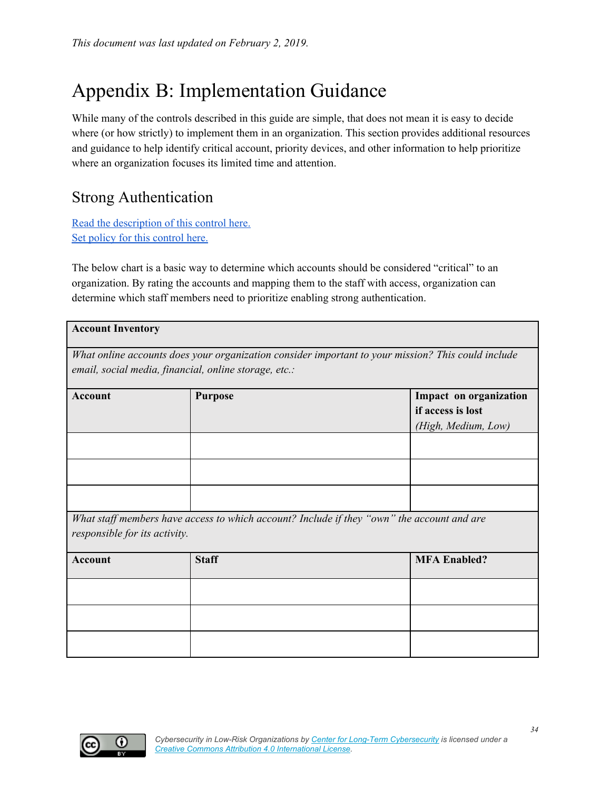## Appendix B: Implementation Guidance

While many of the controls described in this guide are simple, that does not mean it is easy to decide where (or how strictly) to implement them in an organization. This section provides additional resources and guidance to help identify critical account, priority devices, and other information to help prioritize where an organization focuses its limited time and attention.

## <span id="page-33-0"></span>Strong Authentication

Read the [description](#page-12-0) of this control here. Set policy for this [control](#page-28-1) here.

The below chart is a basic way to determine which accounts should be considered "critical" to an organization. By rating the accounts and mapping them to the staff with access, organization can determine which staff members need to prioritize enabling strong authentication.

| <b>Account Inventory</b>                                                                                                                                    |                |                                             |  |  |
|-------------------------------------------------------------------------------------------------------------------------------------------------------------|----------------|---------------------------------------------|--|--|
| What online accounts does your organization consider important to your mission? This could include<br>email, social media, financial, online storage, etc.: |                |                                             |  |  |
| <b>Account</b>                                                                                                                                              | <b>Purpose</b> | Impact on organization<br>if access is lost |  |  |
|                                                                                                                                                             |                | (High, Medium, Low)                         |  |  |
|                                                                                                                                                             |                |                                             |  |  |
|                                                                                                                                                             |                |                                             |  |  |
| What staff members have access to which account? Include if they "own" the account and are<br>responsible for its activity.                                 |                |                                             |  |  |
| <b>Account</b>                                                                                                                                              | <b>Staff</b>   | <b>MFA Enabled?</b>                         |  |  |
|                                                                                                                                                             |                |                                             |  |  |
|                                                                                                                                                             |                |                                             |  |  |
|                                                                                                                                                             |                |                                             |  |  |

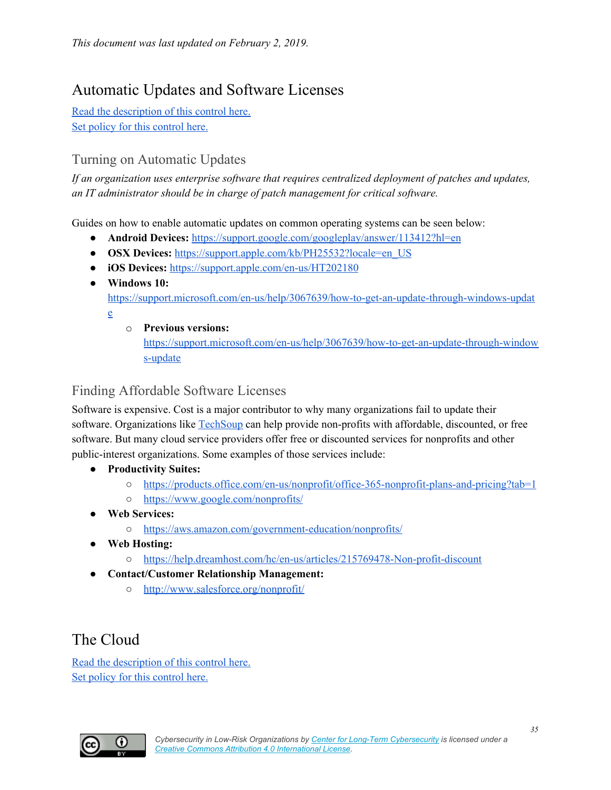## <span id="page-34-0"></span>Automatic Updates and Software Licenses

Read the [description](#page-15-0) of this control here. Set policy for this [control](#page-29-0) here.

#### <span id="page-34-1"></span>Turning on Automatic Updates

*If an organization uses enterprise software that requires centralized deployment of patches and updates, an IT administrator should be in charge of patch management for critical software.*

Guides on how to enable automatic updates on common operating systems can be seen below:

- **Android Devices:** <https://support.google.com/googleplay/answer/113412?hl=en>
- **OSX Devices:** [https://support.apple.com/kb/PH25532?locale=en\\_US](https://support.apple.com/kb/PH25532?locale=en_US)
- **iOS Devices:** <https://support.apple.com/en-us/HT202180>
- **Windows 10:** [https://support.microsoft.com/en-us/help/3067639/how-to-get-an-update-through-windows-updat](https://support.microsoft.com/en-us/help/3067639/how-to-get-an-update-through-windows-update) [e](https://support.microsoft.com/en-us/help/3067639/how-to-get-an-update-through-windows-update)
	- o **Previous versions:**

[https://support.microsoft.com/en-us/help/3067639/how-to-get-an-update-through-window](https://support.microsoft.com/en-us/help/3067639/how-to-get-an-update-through-windows-update) [s-update](https://support.microsoft.com/en-us/help/3067639/how-to-get-an-update-through-windows-update)

#### <span id="page-34-2"></span>Finding Affordable Software Licenses

Software is expensive. Cost is a major contributor to why many organizations fail to update their software. Organizations like [TechSoup](https://www.techsoup.org/) can help provide non-profits with affordable, discounted, or free software. But many cloud service providers offer free or discounted services for nonprofits and other public-interest organizations. Some examples of those services include:

- **● Productivity Suites:**
	- <https://products.office.com/en-us/nonprofit/office-365-nonprofit-plans-and-pricing?tab=1>
	- <https://www.google.com/nonprofits/>
- **● Web Services:**
	- <https://aws.amazon.com/government-education/nonprofits/>
- **● Web Hosting:**
	- <https://help.dreamhost.com/hc/en-us/articles/215769478-Non-profit-discount>
- **● Contact/Customer Relationship Management:**
	- <http://www.salesforce.org/nonprofit/>

## <span id="page-34-3"></span>The Cloud

Read the [description](#page-16-0) of this control here. Set policy for this [control](#page-29-1) here.

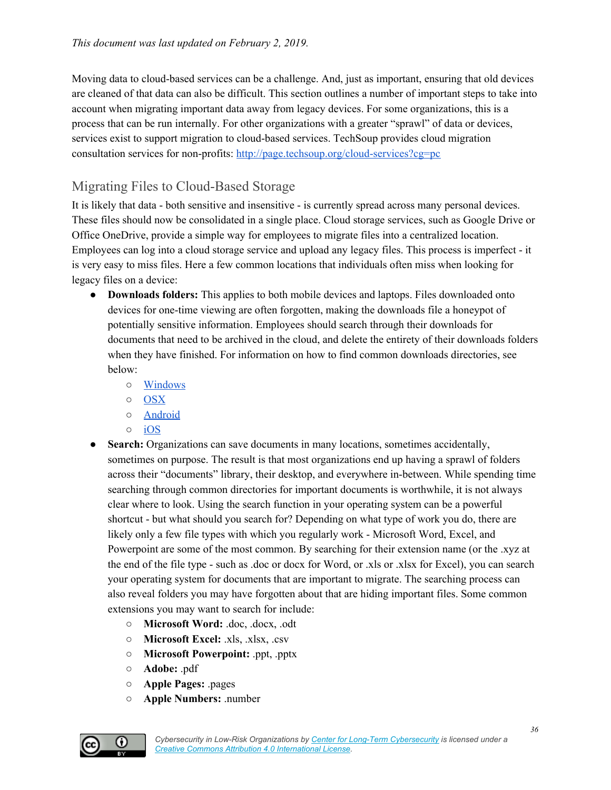Moving data to cloud-based services can be a challenge. And, just as important, ensuring that old devices are cleaned of that data can also be difficult. This section outlines a number of important steps to take into account when migrating important data away from legacy devices. For some organizations, this is a process that can be run internally. For other organizations with a greater "sprawl" of data or devices, services exist to support migration to cloud-based services. TechSoup provides cloud migration consultation services for non-profits: <http://page.techsoup.org/cloud-services?cg=pc>

### <span id="page-35-0"></span>Migrating Files to Cloud-Based Storage

It is likely that data - both sensitive and insensitive - is currently spread across many personal devices. These files should now be consolidated in a single place. Cloud storage services, such as Google Drive or Office OneDrive, provide a simple way for employees to migrate files into a centralized location. Employees can log into a cloud storage service and upload any legacy files. This process is imperfect - it is very easy to miss files. Here a few common locations that individuals often miss when looking for legacy files on a device:

- **Downloads folders:** This applies to both mobile devices and laptops. Files downloaded onto devices for one-time viewing are often forgotten, making the downloads file a honeypot of potentially sensitive information. Employees should search through their downloads for documents that need to be archived in the cloud, and delete the entirety of their downloads folders when they have finished. For information on how to find common downloads directories, see below:
	- [Windows](https://support.microsoft.com/en-us/help/17436/windows-internet-explorer-download-files-from-web)
	- [OSX](https://support.apple.com/guide/mac-help/see-your-files-in-the-finder-mchlp2605/mac)
	- [Android](https://support.google.com/android/answer/2781972?hl=en)
	- [iOS](https://support.apple.com/en-us/HT206481)
- **Search:** Organizations can save documents in many locations, sometimes accidentally, sometimes on purpose. The result is that most organizations end up having a sprawl of folders across their "documents" library, their desktop, and everywhere in-between. While spending time searching through common directories for important documents is worthwhile, it is not always clear where to look. Using the search function in your operating system can be a powerful shortcut - but what should you search for? Depending on what type of work you do, there are likely only a few file types with which you regularly work - Microsoft Word, Excel, and Powerpoint are some of the most common. By searching for their extension name (or the .xyz at the end of the file type - such as .doc or docx for Word, or .xls or .xlsx for Excel), you can search your operating system for documents that are important to migrate. The searching process can also reveal folders you may have forgotten about that are hiding important files. Some common extensions you may want to search for include:
	- **Microsoft Word:** .doc, .docx, .odt
	- **Microsoft Excel:** .xls, .xlsx, .csv
	- **Microsoft Powerpoint:** .ppt, .pptx
	- **Adobe:** .pdf
	- **Apple Pages:** .pages
	- **Apple Numbers:** .number

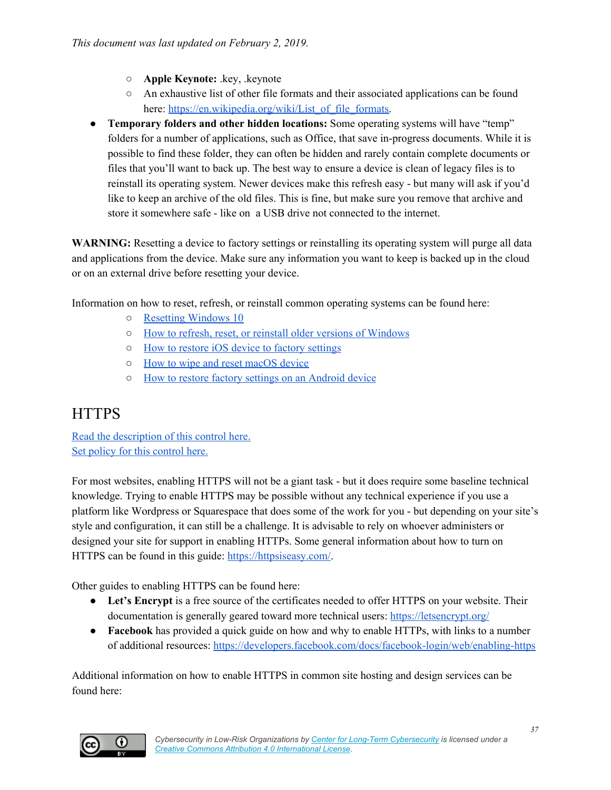- **Apple Keynote:** .key, .keynote
- An exhaustive list of other file formats and their associated applications can be found here: [https://en.wikipedia.org/wiki/List\\_of\\_file\\_formats.](https://en.wikipedia.org/wiki/List_of_file_formats)
- **Temporary folders and other hidden locations:** Some operating systems will have "temp" folders for a number of applications, such as Office, that save in-progress documents. While it is possible to find these folder, they can often be hidden and rarely contain complete documents or files that you'll want to back up. The best way to ensure a device is clean of legacy files is to reinstall its operating system. Newer devices make this refresh easy - but many will ask if you'd like to keep an archive of the old files. This is fine, but make sure you remove that archive and store it somewhere safe - like on a USB drive not connected to the internet.

**WARNING:** Resetting a device to factory settings or reinstalling its operating system will purge all data and applications from the device. Make sure any information you want to keep is backed up in the cloud or on an external drive before resetting your device.

Information on how to reset, refresh, or reinstall common operating systems can be found here:

- Resetting [Windows](https://support.microsoft.com/en-us/help/4026528/windows-reset-or-reinstall-windows-10) 10
- How to refresh, reset, or reinstall older versions of [Windows](https://support.microsoft.com/en-us/help/17085/windows-8-restore-refresh-reset-pc)
- How to restore iOS device to factory [settings](https://support.apple.com/en-us/HT201252)
- How to wipe and reset [macOS](https://support.apple.com/en-us/HT204904) device
- How to restore factory settings on an [Android](https://support.google.com/android/answer/6088915?hl=en) device

## <span id="page-36-0"></span>**HTTPS**

Read the [description](#page-17-0) of this control here. Set policy for this [control](#page-30-0) here.

For most websites, enabling HTTPS will not be a giant task - but it does require some baseline technical knowledge. Trying to enable HTTPS may be possible without any technical experience if you use a platform like Wordpress or Squarespace that does some of the work for you - but depending on your site's style and configuration, it can still be a challenge. It is advisable to rely on whoever administers or designed your site for support in enabling HTTPs. Some general information about how to turn on HTTPS can be found in this guide: [https://httpsiseasy.com/.](https://httpsiseasy.com/)

Other guides to enabling HTTPS can be found here:

- **Let's Encrypt** is a free source of the certificates needed to offer HTTPS on your website. Their documentation is generally geared toward more technical users: <https://letsencrypt.org/>
- **Facebook** has provided a quick guide on how and why to enable HTTPs, with links to a number of additional resources: <https://developers.facebook.com/docs/facebook-login/web/enabling-https>

Additional information on how to enable HTTPS in common site hosting and design services can be found here:

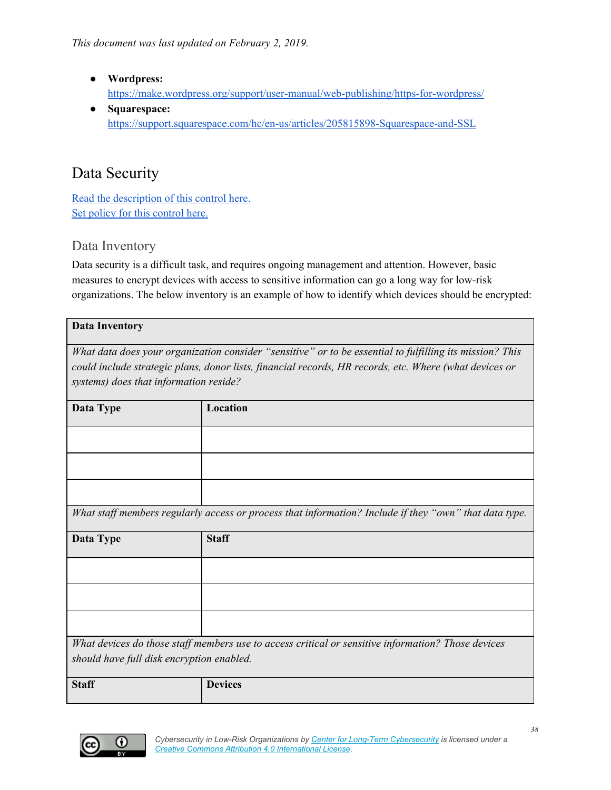- **Wordpress:** <https://make.wordpress.org/support/user-manual/web-publishing/https-for-wordpress/>
- **Squarespace:** <https://support.squarespace.com/hc/en-us/articles/205815898-Squarespace-and-SSL>

## <span id="page-37-0"></span>Data Security

Read the [description](#page-18-0) of this control here. Set policy for this [control](#page-31-0) here.

#### <span id="page-37-1"></span>Data Inventory

Data security is a difficult task, and requires ongoing management and attention. However, basic measures to encrypt devices with access to sensitive information can go a long way for low-risk organizations. The below inventory is an example of how to identify which devices should be encrypted:

| <b>Data Inventory</b>                  |                                                                                                          |  |
|----------------------------------------|----------------------------------------------------------------------------------------------------------|--|
|                                        |                                                                                                          |  |
|                                        | What data does your organization consider "sensitive" or to be essential to fulfilling its mission? This |  |
|                                        | could include strategic plans, donor lists, financial records, HR records, etc. Where (what devices or   |  |
| systems) does that information reside? |                                                                                                          |  |
|                                        |                                                                                                          |  |
|                                        |                                                                                                          |  |
| Data Type                              | Location                                                                                                 |  |
|                                        |                                                                                                          |  |
|                                        |                                                                                                          |  |
|                                        |                                                                                                          |  |
|                                        |                                                                                                          |  |
|                                        |                                                                                                          |  |
|                                        |                                                                                                          |  |
|                                        |                                                                                                          |  |
|                                        | What staff members regularly access or process that information? Include if they "own" that data type.   |  |
|                                        |                                                                                                          |  |
| Data Type                              | <b>Staff</b>                                                                                             |  |
|                                        |                                                                                                          |  |
|                                        |                                                                                                          |  |

*What devices do those staf members use to access critical or sensitive information? Those devices should have full disk encryption enabled.*

| <b>Staff</b> | <b>Devices</b> |
|--------------|----------------|
|              |                |

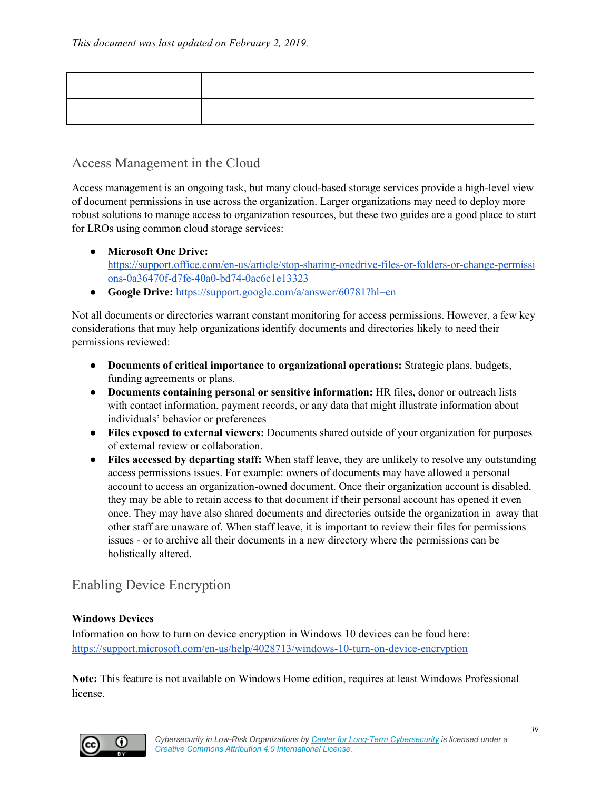#### <span id="page-38-0"></span>Access Management in the Cloud

Access management is an ongoing task, but many cloud-based storage services provide a high-level view of document permissions in use across the organization. Larger organizations may need to deploy more robust solutions to manage access to organization resources, but these two guides are a good place to start for LROs using common cloud storage services:

- **Microsoft One Drive:** [https://support.office.com/en-us/article/stop-sharing-onedrive-files-or-folders-or-change-permissi](https://support.office.com/en-us/article/stop-sharing-onedrive-files-or-folders-or-change-permissions-0a36470f-d7fe-40a0-bd74-0ac6c1e13323) [ons-0a36470f-d7fe-40a0-bd74-0ac6c1e13323](https://support.office.com/en-us/article/stop-sharing-onedrive-files-or-folders-or-change-permissions-0a36470f-d7fe-40a0-bd74-0ac6c1e13323)
- **Google Drive:** <https://support.google.com/a/answer/60781?hl=en>

Not all documents or directories warrant constant monitoring for access permissions. However, a few key considerations that may help organizations identify documents and directories likely to need their permissions reviewed:

- **Documents of critical importance to organizational operations:** Strategic plans, budgets, funding agreements or plans.
- **Documents containing personal or sensitive information:** HR files, donor or outreach lists with contact information, payment records, or any data that might illustrate information about individuals' behavior or preferences
- **● Files exposed to external viewers:** Documents shared outside of your organization for purposes of external review or collaboration.
- **● Files accessed by departing staff:** When staff leave, they are unlikely to resolve any outstanding access permissions issues. For example: owners of documents may have allowed a personal account to access an organization-owned document. Once their organization account is disabled, they may be able to retain access to that document if their personal account has opened it even once. They may have also shared documents and directories outside the organization in away that other staff are unaware of. When staff leave, it is important to review their files for permissions issues - or to archive all their documents in a new directory where the permissions can be holistically altered.

#### <span id="page-38-1"></span>Enabling Device Encryption

#### **Windows Devices**

Information on how to turn on device encryption in Windows 10 devices can be foud here: <https://support.microsoft.com/en-us/help/4028713/windows-10-turn-on-device-encryption>

**Note:** This feature is not available on Windows Home edition, requires at least Windows Professional license.

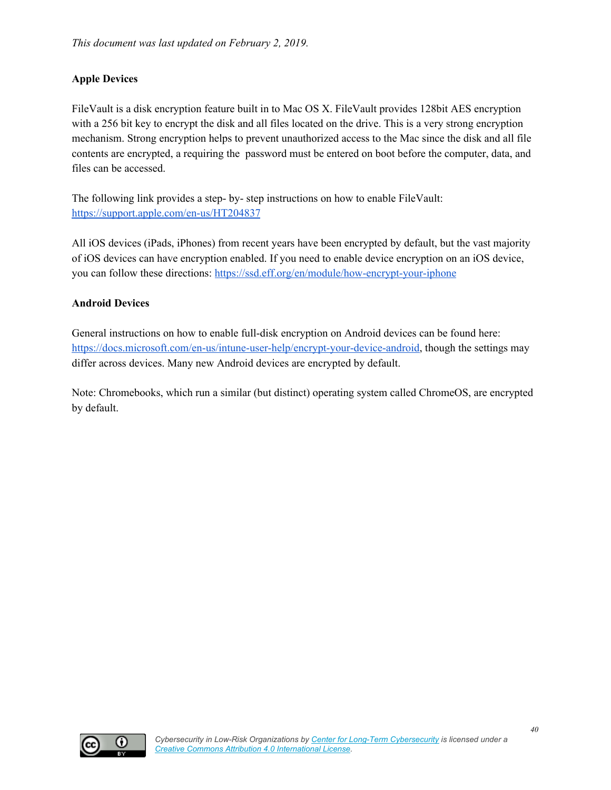#### **Apple Devices**

FileVault is a disk encryption feature built in to Mac OS X. FileVault provides 128bit AES encryption with a 256 bit key to encrypt the disk and all files located on the drive. This is a very strong encryption mechanism. Strong encryption helps to prevent unauthorized access to the Mac since the disk and all file contents are encrypted, a requiring the password must be entered on boot before the computer, data, and files can be accessed.

The following link provides a step- by- step instructions on how to enable FileVault: <https://support.apple.com/en-us/HT204837>

All iOS devices (iPads, iPhones) from recent years have been encrypted by default, but the vast majority of iOS devices can have encryption enabled. If you need to enable device encryption on an iOS device, you can follow these directions: <https://ssd.eff.org/en/module/how-encrypt-your-iphone>

#### **Android Devices**

General instructions on how to enable full-disk encryption on Android devices can be found here: [https://docs.microsoft.com/en-us/intune-user-help/encrypt-your-device-android,](https://docs.microsoft.com/en-us/intune-user-help/encrypt-your-device-android) though the settings may differ across devices. Many new Android devices are encrypted by default.

Note: Chromebooks, which run a similar (but distinct) operating system called ChromeOS, are encrypted by default.

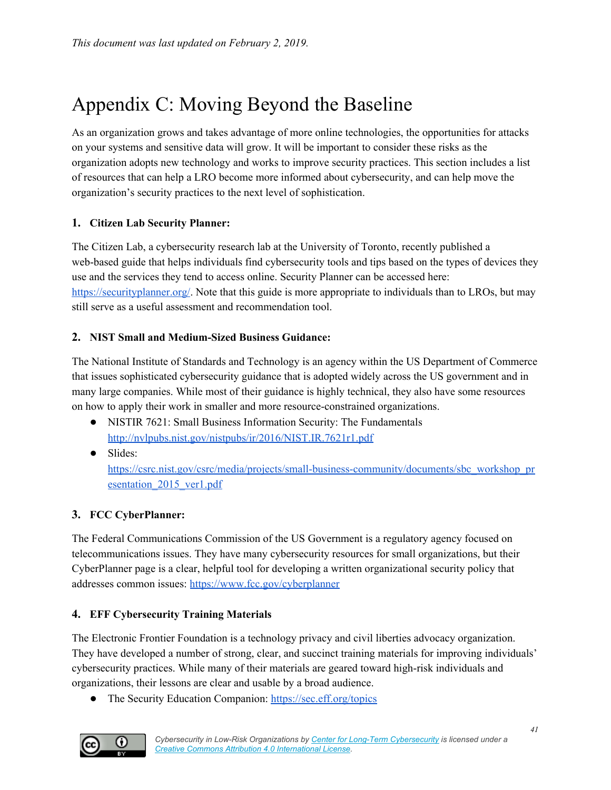## <span id="page-40-0"></span>Appendix C: Moving Beyond the Baseline

As an organization grows and takes advantage of more online technologies, the opportunities for attacks on your systems and sensitive data will grow. It will be important to consider these risks as the organization adopts new technology and works to improve security practices. This section includes a list of resources that can help a LRO become more informed about cybersecurity, and can help move the organization's security practices to the next level of sophistication.

#### **1. Citizen Lab Security Planner:**

The Citizen Lab, a cybersecurity research lab at the University of Toronto, recently published a web-based guide that helps individuals find cybersecurity tools and tips based on the types of devices they use and the services they tend to access online. Security Planner can be accessed here: <https://securityplanner.org/>. Note that this guide is more appropriate to individuals than to LROs, but may still serve as a useful assessment and recommendation tool.

#### **2. NIST Small and Medium-Sized Business Guidance:**

The National Institute of Standards and Technology is an agency within the US Department of Commerce that issues sophisticated cybersecurity guidance that is adopted widely across the US government and in many large companies. While most of their guidance is highly technical, they also have some resources on how to apply their work in smaller and more resource-constrained organizations.

- NISTIR 7621: Small Business Information Security: The Fundamentals <http://nvlpubs.nist.gov/nistpubs/ir/2016/NIST.IR.7621r1.pdf>
- Slides:

[https://csrc.nist.gov/csrc/media/projects/small-business-community/documents/sbc\\_workshop\\_pr](https://csrc.nist.gov/csrc/media/projects/small-business-community/documents/sbc_workshop_presentation_2015_ver1.pdf) esentation 2015 ver1.pdf

#### **3. FCC CyberPlanner:**

The Federal Communications Commission of the US Government is a regulatory agency focused on telecommunications issues. They have many cybersecurity resources for small organizations, but their CyberPlanner page is a clear, helpful tool for developing a written organizational security policy that addresses common issues: <https://www.fcc.gov/cyberplanner>

#### **4. EFF Cybersecurity Training Materials**

The Electronic Frontier Foundation is a technology privacy and civil liberties advocacy organization. They have developed a number of strong, clear, and succinct training materials for improving individuals' cybersecurity practices. While many of their materials are geared toward high-risk individuals and organizations, their lessons are clear and usable by a broad audience.

● The Security Education Companion: <https://sec.eff.org/topics>